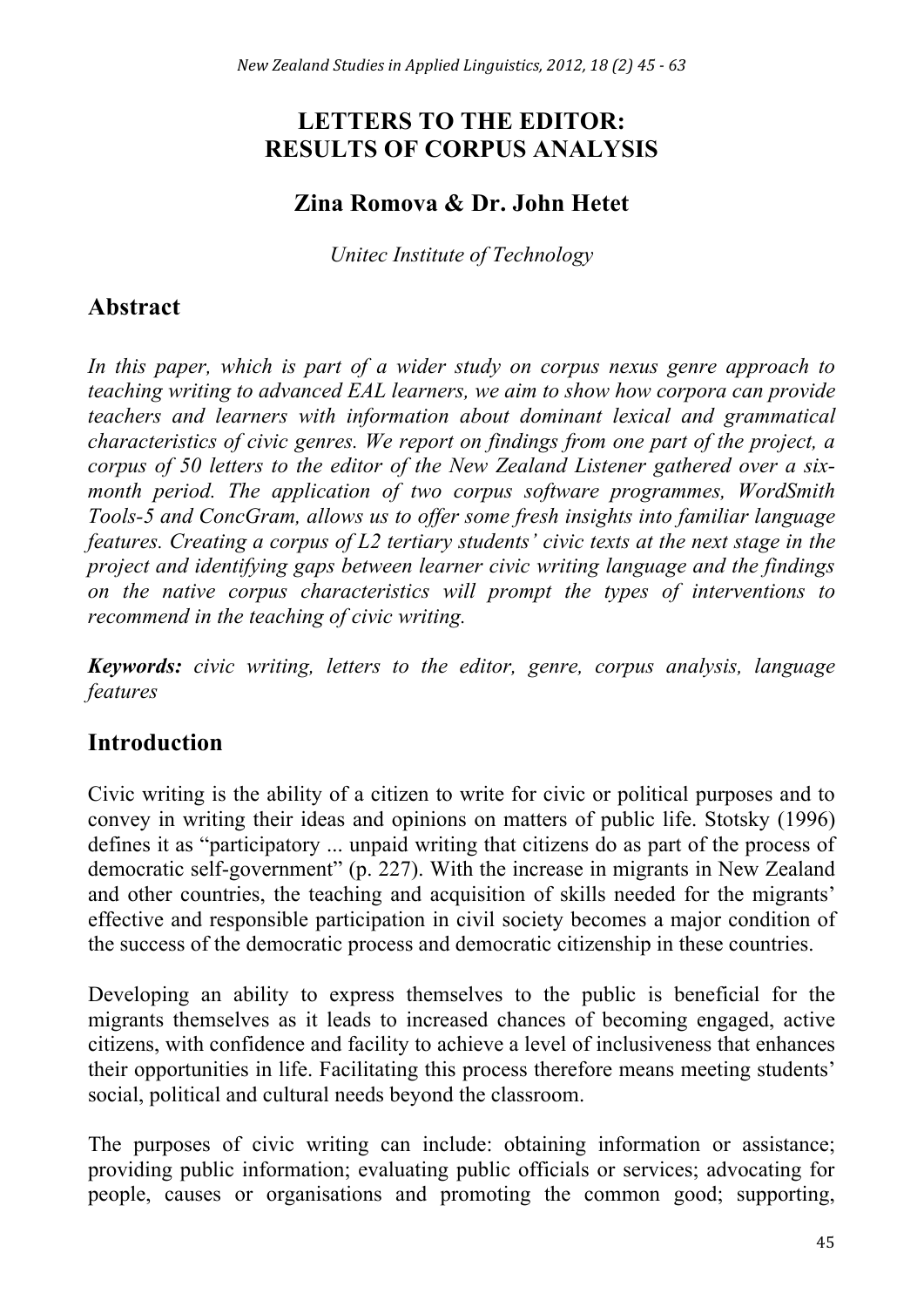# **LETTERS TO THE EDITOR: RESULTS OF CORPUS ANALYSIS**

## **Zina Romova & Dr. John Hetet**

*Unitec Institute of Technology*

# **Abstract**

In this paper, which is part of a wider study on corpus nexus genre approach to *teaching writing to advanced EAL learners, we aim to show how corpora can provide teachers and learners with information about dominant lexical and grammatical characteristics of civic genres. We report on findings from one part of the project, a corpus of 50 letters to the editor of the New Zealand Listener gathered over a sixmonth period. The application of two corpus software programmes, WordSmith Tools-5 and ConcGram, allows us to offer some fresh insights into familiar language features. Creating a corpus of L2 tertiary students' civic texts at the next stage in the project and identifying gaps between learner civic writing language and the findings on the native corpus characteristics will prompt the types of interventions to recommend in the teaching of civic writing.* 

*Keywords: civic writing, letters to the editor, genre, corpus analysis, language features*

# **Introduction**

Civic writing is the ability of a citizen to write for civic or political purposes and to convey in writing their ideas and opinions on matters of public life. Stotsky (1996) defines it as "participatory ... unpaid writing that citizens do as part of the process of democratic self-government" (p. 227). With the increase in migrants in New Zealand and other countries, the teaching and acquisition of skills needed for the migrants' effective and responsible participation in civil society becomes a major condition of the success of the democratic process and democratic citizenship in these countries.

Developing an ability to express themselves to the public is beneficial for the migrants themselves as it leads to increased chances of becoming engaged, active citizens, with confidence and facility to achieve a level of inclusiveness that enhances their opportunities in life. Facilitating this process therefore means meeting students' social, political and cultural needs beyond the classroom.

The purposes of civic writing can include: obtaining information or assistance; providing public information; evaluating public officials or services; advocating for people, causes or organisations and promoting the common good; supporting,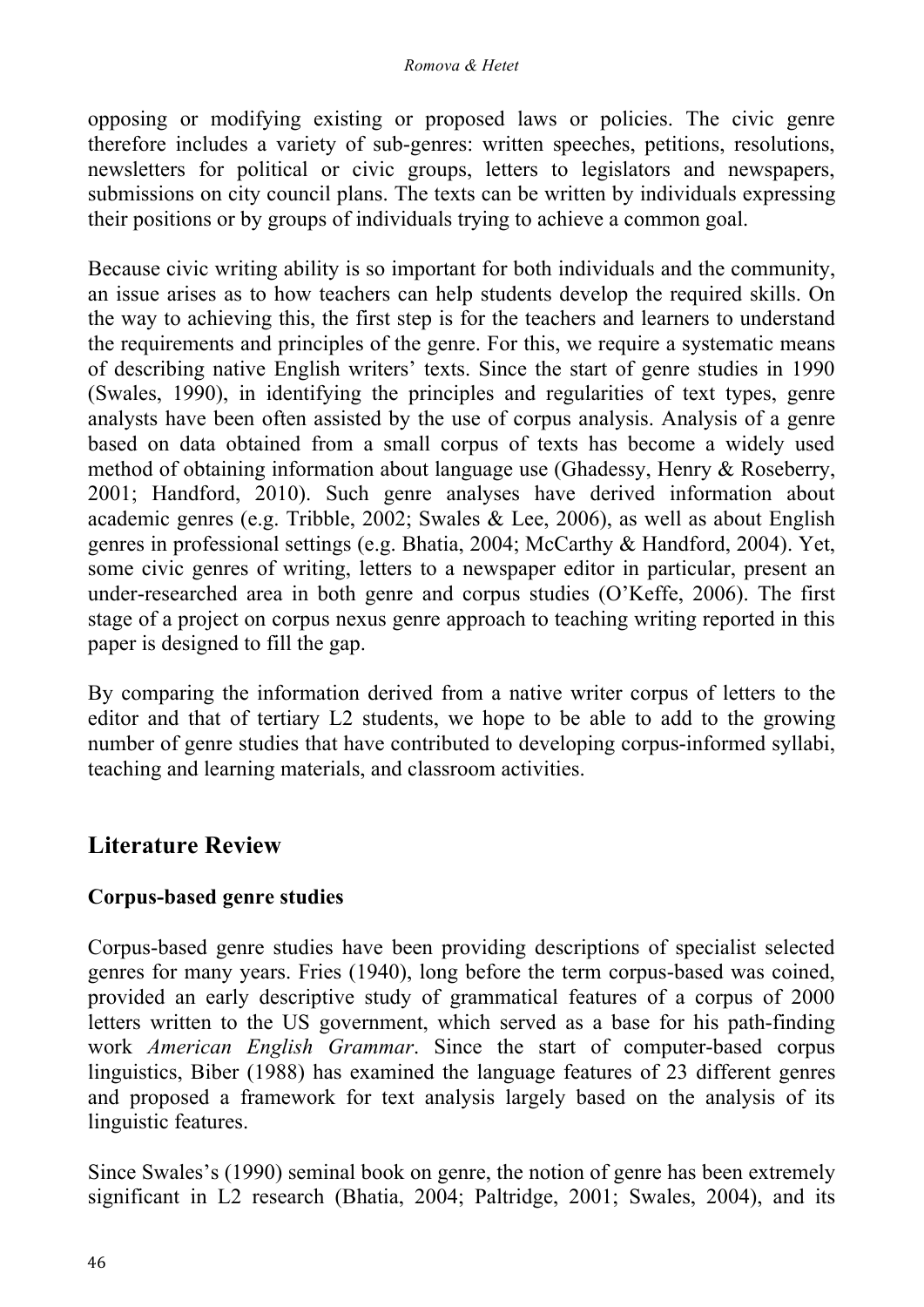opposing or modifying existing or proposed laws or policies. The civic genre therefore includes a variety of sub-genres: written speeches, petitions, resolutions, newsletters for political or civic groups, letters to legislators and newspapers, submissions on city council plans. The texts can be written by individuals expressing their positions or by groups of individuals trying to achieve a common goal.

Because civic writing ability is so important for both individuals and the community, an issue arises as to how teachers can help students develop the required skills. On the way to achieving this, the first step is for the teachers and learners to understand the requirements and principles of the genre. For this, we require a systematic means of describing native English writers' texts. Since the start of genre studies in 1990 (Swales, 1990), in identifying the principles and regularities of text types, genre analysts have been often assisted by the use of corpus analysis. Analysis of a genre based on data obtained from a small corpus of texts has become a widely used method of obtaining information about language use (Ghadessy, Henry & Roseberry, 2001; Handford, 2010). Such genre analyses have derived information about academic genres (e.g. Tribble, 2002; Swales & Lee, 2006), as well as about English genres in professional settings (e.g. Bhatia, 2004; McCarthy & Handford, 2004). Yet, some civic genres of writing, letters to a newspaper editor in particular, present an under-researched area in both genre and corpus studies (O'Keffe, 2006). The first stage of a project on corpus nexus genre approach to teaching writing reported in this paper is designed to fill the gap.

By comparing the information derived from a native writer corpus of letters to the editor and that of tertiary L2 students, we hope to be able to add to the growing number of genre studies that have contributed to developing corpus-informed syllabi, teaching and learning materials, and classroom activities.

# **Literature Review**

## **Corpus-based genre studies**

Corpus-based genre studies have been providing descriptions of specialist selected genres for many years. Fries (1940), long before the term corpus-based was coined, provided an early descriptive study of grammatical features of a corpus of 2000 letters written to the US government, which served as a base for his path-finding work *American English Grammar*. Since the start of computer-based corpus linguistics, Biber (1988) has examined the language features of 23 different genres and proposed a framework for text analysis largely based on the analysis of its linguistic features.

Since Swales's (1990) seminal book on genre, the notion of genre has been extremely significant in L2 research (Bhatia, 2004; Paltridge, 2001; Swales, 2004), and its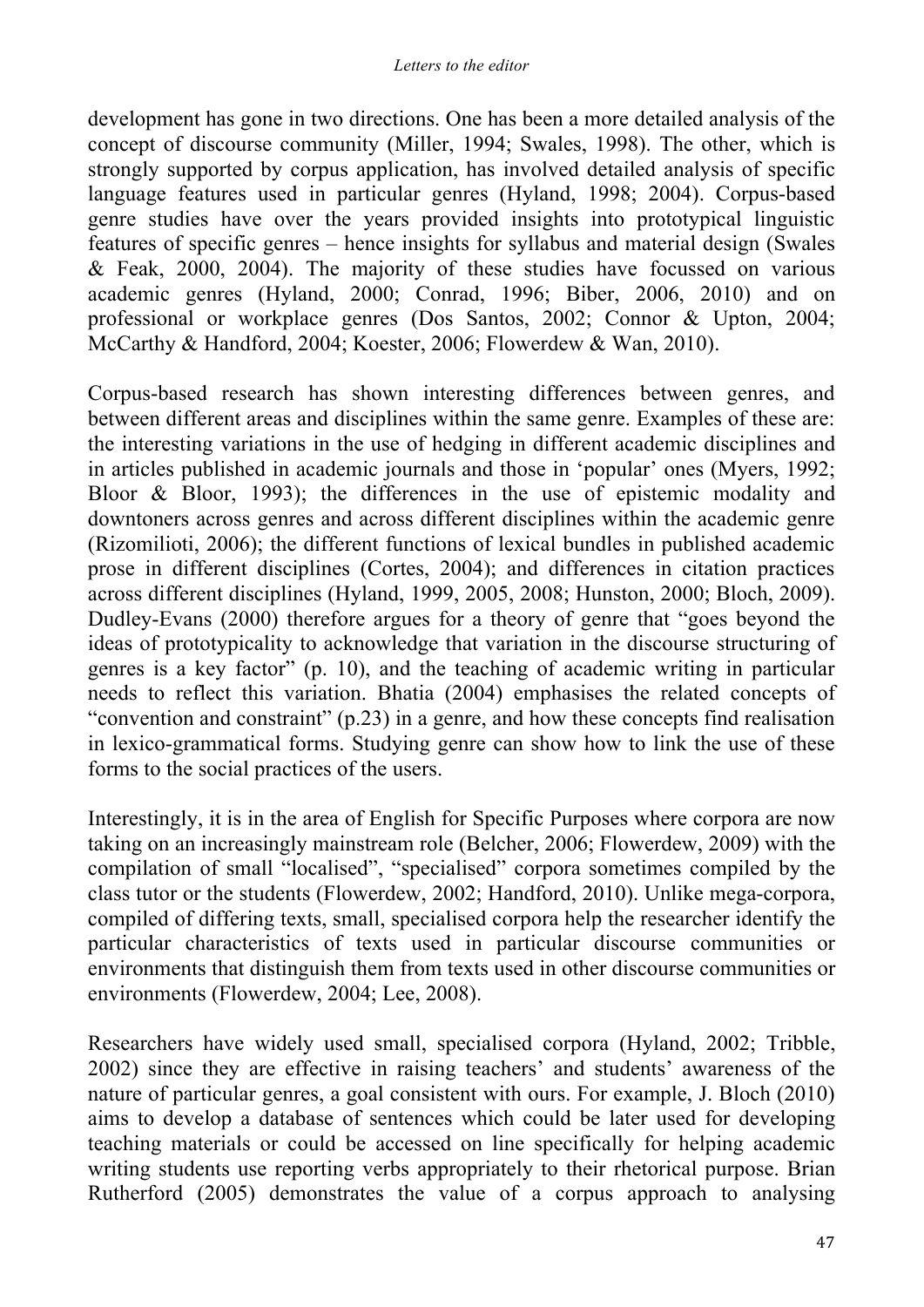development has gone in two directions. One has been a more detailed analysis of the concept of discourse community (Miller, 1994; Swales, 1998). The other, which is strongly supported by corpus application, has involved detailed analysis of specific language features used in particular genres (Hyland, 1998; 2004). Corpus-based genre studies have over the years provided insights into prototypical linguistic features of specific genres – hence insights for syllabus and material design (Swales & Feak, 2000, 2004). The majority of these studies have focussed on various academic genres (Hyland, 2000; Conrad, 1996; Biber, 2006, 2010) and on professional or workplace genres (Dos Santos, 2002; Connor & Upton, 2004; McCarthy & Handford, 2004; Koester, 2006; Flowerdew & Wan, 2010).

Corpus-based research has shown interesting differences between genres, and between different areas and disciplines within the same genre. Examples of these are: the interesting variations in the use of hedging in different academic disciplines and in articles published in academic journals and those in 'popular' ones (Myers, 1992; Bloor & Bloor, 1993); the differences in the use of epistemic modality and downtoners across genres and across different disciplines within the academic genre (Rizomilioti, 2006); the different functions of lexical bundles in published academic prose in different disciplines (Cortes, 2004); and differences in citation practices across different disciplines (Hyland, 1999, 2005, 2008; Hunston, 2000; Bloch, 2009). Dudley-Evans (2000) therefore argues for a theory of genre that "goes beyond the ideas of prototypicality to acknowledge that variation in the discourse structuring of genres is a key factor" (p. 10), and the teaching of academic writing in particular needs to reflect this variation. Bhatia (2004) emphasises the related concepts of "convention and constraint" (p.23) in a genre, and how these concepts find realisation in lexico-grammatical forms. Studying genre can show how to link the use of these forms to the social practices of the users.

Interestingly, it is in the area of English for Specific Purposes where corpora are now taking on an increasingly mainstream role (Belcher, 2006; Flowerdew, 2009) with the compilation of small "localised", "specialised" corpora sometimes compiled by the class tutor or the students (Flowerdew, 2002; Handford, 2010). Unlike mega-corpora, compiled of differing texts, small, specialised corpora help the researcher identify the particular characteristics of texts used in particular discourse communities or environments that distinguish them from texts used in other discourse communities or environments (Flowerdew, 2004; Lee, 2008).

Researchers have widely used small, specialised corpora (Hyland, 2002; Tribble, 2002) since they are effective in raising teachers' and students' awareness of the nature of particular genres, a goal consistent with ours. For example, J. Bloch (2010) aims to develop a database of sentences which could be later used for developing teaching materials or could be accessed on line specifically for helping academic writing students use reporting verbs appropriately to their rhetorical purpose. Brian Rutherford (2005) demonstrates the value of a corpus approach to analysing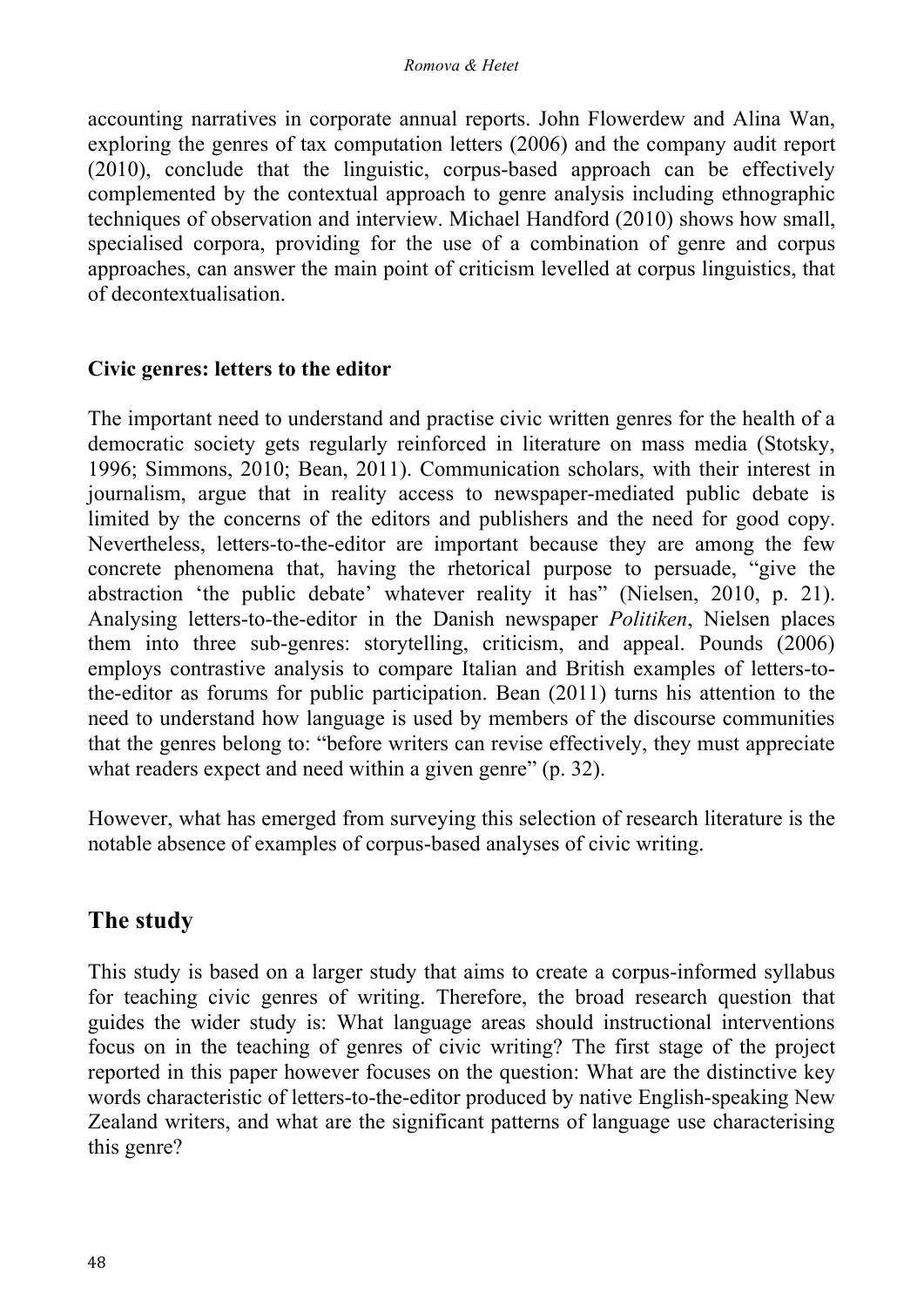accounting narratives in corporate annual reports. John Flowerdew and Alina Wan, exploring the genres of tax computation letters (2006) and the company audit report (2010), conclude that the linguistic, corpus-based approach can be effectively complemented by the contextual approach to genre analysis including ethnographic techniques of observation and interview. Michael Handford (2010) shows how small, specialised corpora, providing for the use of a combination of genre and corpus approaches, can answer the main point of criticism levelled at corpus linguistics, that of decontextualisation.

#### **Civic genres: letters to the editor**

The important need to understand and practise civic written genres for the health of a democratic society gets regularly reinforced in literature on mass media (Stotsky, 1996; Simmons, 2010; Bean, 2011). Communication scholars, with their interest in journalism, argue that in reality access to newspaper-mediated public debate is limited by the concerns of the editors and publishers and the need for good copy. Nevertheless, letters-to-the-editor are important because they are among the few concrete phenomena that, having the rhetorical purpose to persuade, "give the abstraction 'the public debate' whatever reality it has" (Nielsen, 2010, p. 21). Analysing letters-to-the-editor in the Danish newspaper *Politiken*, Nielsen places them into three sub-genres: storytelling, criticism, and appeal. Pounds (2006) employs contrastive analysis to compare Italian and British examples of letters-tothe-editor as forums for public participation. Bean (2011) turns his attention to the need to understand how language is used by members of the discourse communities that the genres belong to: "before writers can revise effectively, they must appreciate what readers expect and need within a given genre" (p. 32).

However, what has emerged from surveying this selection of research literature is the notable absence of examples of corpus-based analyses of civic writing.

# **The study**

This study is based on a larger study that aims to create a corpus-informed syllabus for teaching civic genres of writing. Therefore, the broad research question that guides the wider study is: What language areas should instructional interventions focus on in the teaching of genres of civic writing? The first stage of the project reported in this paper however focuses on the question: What are the distinctive key words characteristic of letters-to-the-editor produced by native English-speaking New Zealand writers, and what are the significant patterns of language use characterising this genre?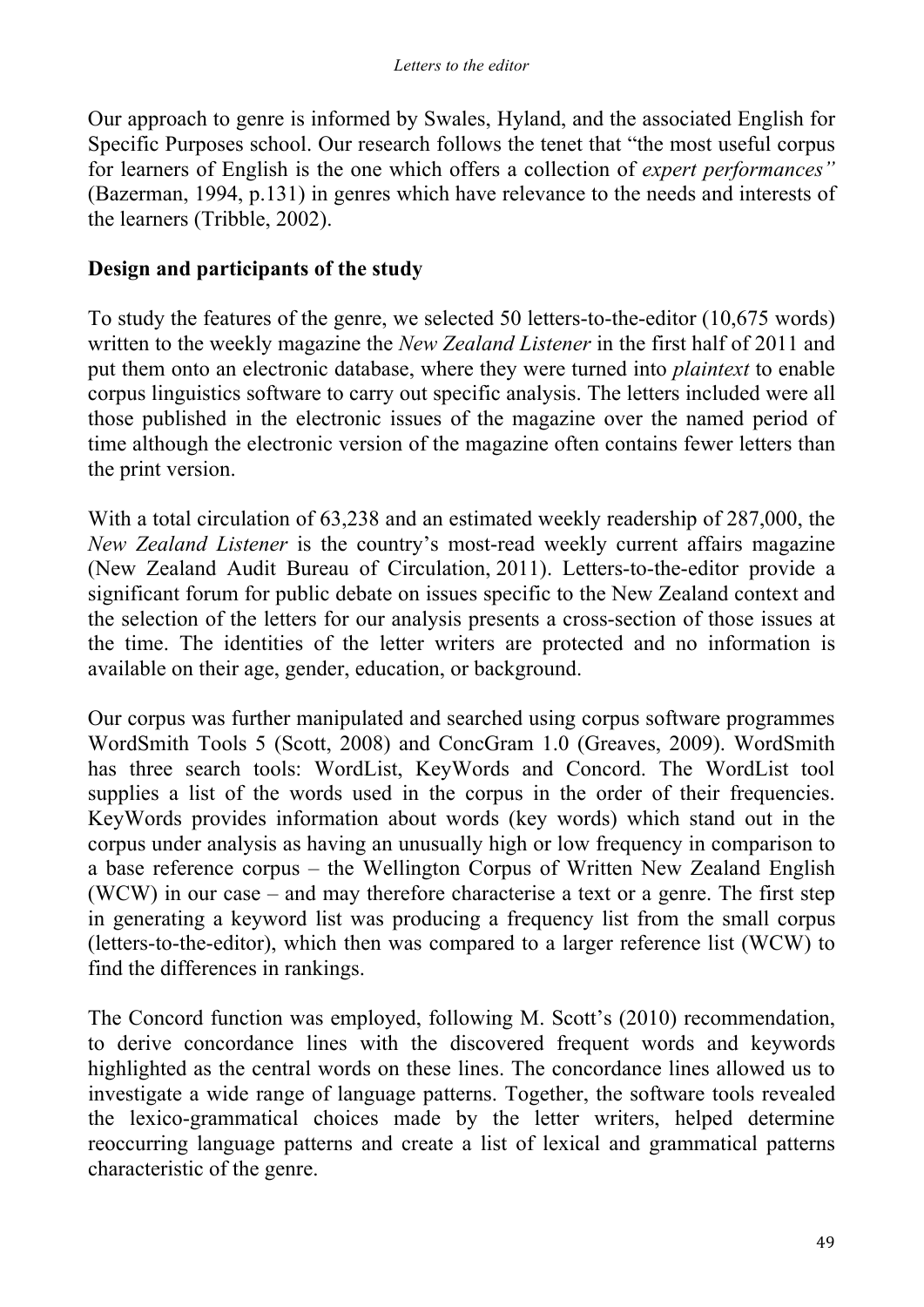Our approach to genre is informed by Swales, Hyland, and the associated English for Specific Purposes school. Our research follows the tenet that "the most useful corpus for learners of English is the one which offers a collection of *expert performances"* (Bazerman, 1994, p.131) in genres which have relevance to the needs and interests of the learners (Tribble, 2002).

#### **Design and participants of the study**

To study the features of the genre, we selected 50 letters-to-the-editor (10,675 words) written to the weekly magazine the *New Zealand Listener* in the first half of 2011 and put them onto an electronic database, where they were turned into *plaintext* to enable corpus linguistics software to carry out specific analysis. The letters included were all those published in the electronic issues of the magazine over the named period of time although the electronic version of the magazine often contains fewer letters than the print version.

With a total circulation of 63,238 and an estimated weekly readership of 287,000, the *New Zealand Listener* is the country's most-read weekly current affairs magazine (New Zealand Audit Bureau of Circulation, 2011). Letters-to-the-editor provide a significant forum for public debate on issues specific to the New Zealand context and the selection of the letters for our analysis presents a cross-section of those issues at the time. The identities of the letter writers are protected and no information is available on their age, gender, education, or background.

Our corpus was further manipulated and searched using corpus software programmes WordSmith Tools 5 (Scott, 2008) and ConcGram 1.0 (Greaves, 2009). WordSmith has three search tools: WordList, KeyWords and Concord. The WordList tool supplies a list of the words used in the corpus in the order of their frequencies. KeyWords provides information about words (key words) which stand out in the corpus under analysis as having an unusually high or low frequency in comparison to a base reference corpus – the Wellington Corpus of Written New Zealand English (WCW) in our case – and may therefore characterise a text or a genre. The first step in generating a keyword list was producing a frequency list from the small corpus (letters-to-the-editor), which then was compared to a larger reference list (WCW) to find the differences in rankings.

The Concord function was employed, following M. Scott's (2010) recommendation, to derive concordance lines with the discovered frequent words and keywords highlighted as the central words on these lines. The concordance lines allowed us to investigate a wide range of language patterns. Together, the software tools revealed the lexico-grammatical choices made by the letter writers, helped determine reoccurring language patterns and create a list of lexical and grammatical patterns characteristic of the genre.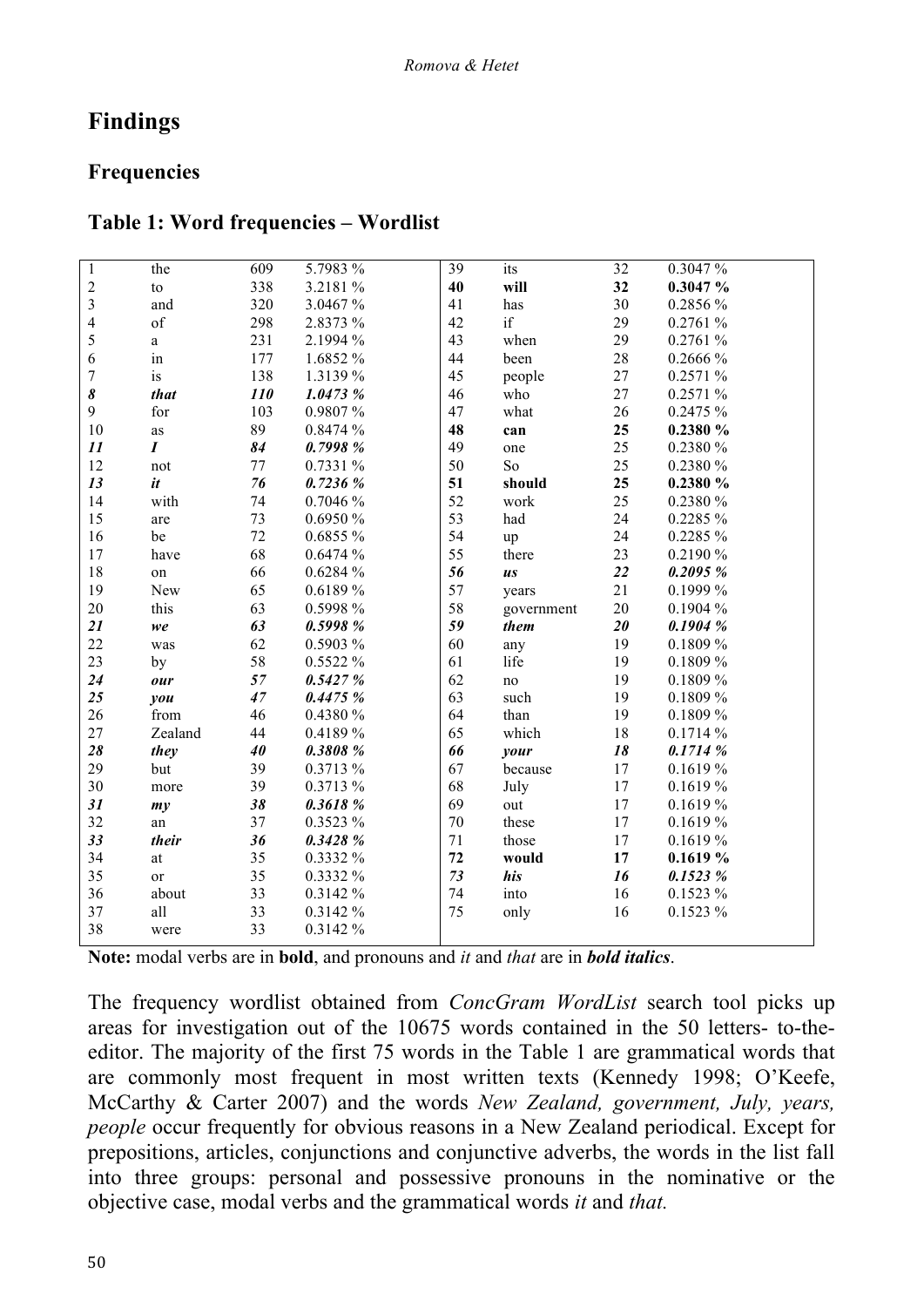# **Findings**

## **Frequencies**

### **Table 1: Word frequencies – Wordlist**

| $\mathbf{1}$     | the                 | 609 | 5.7983 %    | 39     | its        | 32     | 0.3047 %     |
|------------------|---------------------|-----|-------------|--------|------------|--------|--------------|
| $\frac{2}{3}$    | to                  | 338 | 3.2181 %    | 40     | will       | 32     | 0.3047%      |
|                  | and                 | 320 | 3.0467 %    | 41     | has        | 30     | 0.2856 %     |
| $\overline{4}$   | of                  | 298 | 2.8373 %    | 42     | if         | 29     | $0.2761\ \%$ |
| 5                | a                   | 231 | 2.1994 %    | 43     | when       | 29     | 0.2761 %     |
| $\boldsymbol{6}$ | $\operatorname{in}$ | 177 | 1.6852 %    | 44     | been       | 28     | 0.2666 %     |
| $\overline{7}$   | is                  | 138 | 1.3139 %    | 45     | people     | 27     | 0.2571 %     |
| 8                | that                | 110 | 1.0473 %    | 46     | who        | 27     | 0.2571 %     |
| 9                | for                 | 103 | 0.9807 %    | 47     | what       | 26     | 0.2475 %     |
| $10\,$           | as                  | 89  | 0.8474 %    | 48     | can        | 25     | 0.2380 %     |
| 11               | $\boldsymbol{I}$    | 84  | 0.7998%     | 49     | one        | 25     | 0.2380 %     |
| 12               | not                 | 77  | 0.7331 %    | 50     | So         | 25     | 0.2380 %     |
| 13               | it                  | 76  | 0.7236%     | 51     | should     | 25     | 0.2380 %     |
| 14               | with                | 74  | 0.7046 %    | 52     | work       | 25     | 0.2380 %     |
| 15               | are                 | 73  | 0.6950 %    | 53     | had        | 24     | 0.2285 %     |
| 16               | be                  | 72  | 0.6855 %    | 54     | up         | 24     | 0.2285 %     |
| 17               | have                | 68  | 0.6474 %    | 55     | there      | 23     | 0.2190 %     |
| 18               | on                  | 66  | 0.6284 %    | 56     | us         | 22     | 0.2095%      |
| 19               | New                 | 65  | 0.6189 %    | 57     | years      | 21     | 0.1999 %     |
| 20               | this                | 63  | 0.5998 %    | 58     | government | 20     | 0.1904 %     |
| 21               | we                  | 63  | 0.5998 %    | 59     | them       | 20     | 0.1904%      |
| 22               | was                 | 62  | 0.5903 %    | 60     | any        | 19     | 0.1809 %     |
| 23               | by                  | 58  | 0.5522 %    | 61     | life       | 19     | 0.1809 %     |
| 24               | our                 | 57  | 0.5427%     | 62     | $\rm no$   | 19     | 0.1809 %     |
| 25               | you                 | 47  | 0.4475%     | 63     | such       | 19     | 0.1809 %     |
| 26               | from                | 46  | 0.4380 %    | 64     | than       | 19     | 0.1809 %     |
| 27               | Zealand             | 44  | 0.4189 %    | 65     | which      | 18     | 0.1714 %     |
| 28               | they                | 40  | 0.3808 %    | 66     | your       | 18     | 0.1714%      |
| 29               | but                 | 39  | 0.3713 %    | 67     | because    | 17     | 0.1619 %     |
| 30               | more                | 39  | 0.3713 %    | 68     | July       | 17     | 0.1619 %     |
| 31               | my                  | 38  | 0.3618 %    | 69     | out        | 17     | 0.1619 %     |
| 32               | an                  | 37  | $0.3523~\%$ | $70\,$ | these      | 17     | 0.1619 %     |
| 33               | their               | 36  | 0.3428 %    | 71     | those      | $17\,$ | 0.1619 %     |
| 34               | $\,at$              | 35  | 0.3332 %    | 72     | would      | 17     | 0.1619%      |
| 35               | <sub>or</sub>       | 35  | 0.3332 %    | $73\,$ | his        | 16     | 0.1523 %     |
| 36               | about               | 33  | 0.3142 %    | 74     | into       | 16     | 0.1523 %     |
| 37               | all                 | 33  | 0.3142 %    | 75     | only       | 16     | 0.1523 %     |
| 38               | were                | 33  | 0.3142 %    |        |            |        |              |
|                  |                     |     |             |        |            |        |              |

**Note:** modal verbs are in **bold**, and pronouns and *it* and *that* are in *bold italics*.

The frequency wordlist obtained from *ConcGram WordList* search tool picks up areas for investigation out of the 10675 words contained in the 50 letters- to-theeditor. The majority of the first 75 words in the Table 1 are grammatical words that are commonly most frequent in most written texts (Kennedy 1998; O'Keefe, McCarthy & Carter 2007) and the words *New Zealand, government, July, years, people* occur frequently for obvious reasons in a New Zealand periodical. Except for prepositions, articles, conjunctions and conjunctive adverbs, the words in the list fall into three groups: personal and possessive pronouns in the nominative or the objective case, modal verbs and the grammatical words *it* and *that.*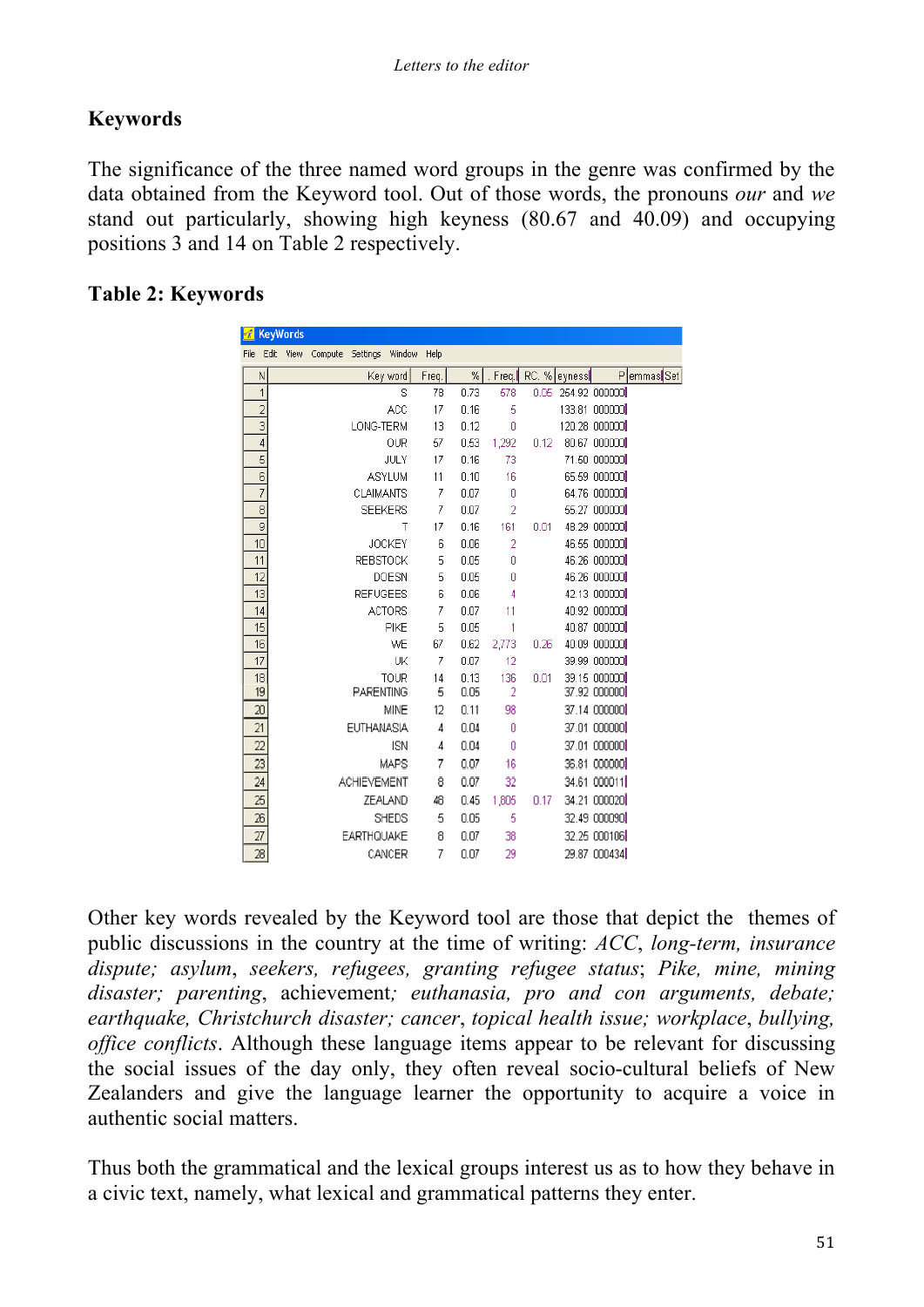## **Keywords**

The significance of the three named word groups in the genre was confirmed by the data obtained from the Keyword tool. Out of those words, the pronouns *our* and *we* stand out particularly, showing high keyness (80.67 and 40.09) and occupying positions 3 and 14 on Table 2 respectively.

### **Table 2: Keywords**

| r.              |                 | <b>KeyWords</b> |         |                    |               |                |              |          |      |              |                              |            |
|-----------------|-----------------|-----------------|---------|--------------------|---------------|----------------|--------------|----------|------|--------------|------------------------------|------------|
| File            | Edit            | View            | Compute | Settings Window    |               | Help           |              |          |      |              |                              |            |
|                 | N               |                 |         |                    | Key word      | Freq.          | %            | . Freq.  |      | RC. % eyness |                              | PemmasSSet |
|                 | 1               |                 |         |                    | Ś             | 78             | 0.73         | 578      | 0.05 |              | 254.92 000000                |            |
|                 | $\overline{2}$  |                 |         |                    | ACC           | 17             | 0.16         | 5        |      |              | 133.81 000000                |            |
|                 | $\overline{3}$  |                 |         | LONG-TERM          |               | 13             | 0.12         | 0        |      |              | 120.28 000000                |            |
|                 | $\overline{4}$  |                 |         |                    | OUR           | 57             | 0.53         | 1,292    | 0.12 |              | 80.67 000000                 |            |
|                 | $\overline{5}$  |                 |         |                    | JULY          | 17             | 0.16         | 73       |      |              | 71.50 000000                 |            |
|                 | $\frac{6}{7}$   |                 |         |                    | <b>ASYLUM</b> | 11             | 0.10         | 16       |      |              | 65.59 000000                 |            |
|                 |                 |                 |         | <b>CLAIMANTS</b>   |               | 7              | 0.07         | 0        |      |              | 64.76 000000                 |            |
|                 | 8               |                 |         | <b>SEEKERS</b>     |               | 7              | 0.07         | 2        |      |              | 55.27 000000                 |            |
|                 | $\overline{9}$  |                 |         |                    | T             | 17             | 0.16         | 161      | 0.01 |              | 48.29 000000                 |            |
|                 | 10              |                 |         |                    | <b>JOCKEY</b> | 6              | 0.06         | 2        |      |              | 46.55 000000                 |            |
|                 | 11              |                 |         | <b>REBSTOCK</b>    |               | 5              | 0.05         | Ō        |      |              | 46.26 000000                 |            |
|                 | 12              |                 |         |                    | DOESN         | 5              | 0.05         | 0        |      |              | 46.26 000000                 |            |
|                 | 13              |                 |         | <b>REFUGEES</b>    |               | 6              | 0.06         | 4        |      |              | 42.13 000000                 |            |
|                 | 14              |                 |         |                    | <b>ACTORS</b> | 7              | 0.07         | 11       |      |              | 40.92 000000                 |            |
|                 | 15              |                 |         |                    | <b>PIKE</b>   | 5              | 0.05         | 1        |      |              | 40.87 000000                 |            |
|                 | 16              |                 |         |                    | WE            | 67             | 0.62         | 2,773    | 0.26 |              | 40.09 000000                 |            |
|                 | 17<br>18        |                 |         |                    | UK            | $\overline{7}$ | 0.07         | 12       |      |              | 39.99 000000<br>39.15 000000 |            |
|                 | 19              |                 |         | PARENTING          | <b>TOUR</b>   | 14<br>5        | 0.13<br>0.05 | 136<br>2 | 0.01 |              | 37.92 000000                 |            |
|                 | 20              |                 |         |                    | MINE          | 12             | 0.11         | 98       |      |              | 37.14 000000                 |            |
| 21              |                 |                 |         | EUTHANASIA         |               | 4              | 0.04         | 0        |      |              | 37.01 000000                 |            |
|                 | $\overline{22}$ |                 |         |                    | <b>ISN</b>    |                | 0.04         | 0        |      |              | 37.01 000000                 |            |
|                 |                 |                 |         |                    |               | 4              |              |          |      |              |                              |            |
|                 | 23              |                 |         |                    | <b>MAPS</b>   | 7              | 0.07         | 16       |      |              | 36.81 000000                 |            |
| $\overline{24}$ |                 |                 |         | <b>ACHIEVEMENT</b> |               | 8              | 0.07         | 32       |      |              | 34.61 000011                 |            |
|                 | 25              |                 |         |                    | ZEALAND       | 48             | 0.45         | 1,805    | 0.17 |              | 34.21 000020                 |            |
|                 | 26              |                 |         |                    | <b>SHEDS</b>  | 5              | 0.05         | 5        |      |              | 32.49 000090                 |            |
| 27              |                 |                 |         | <b>EARTHQUAKE</b>  |               | 8              | 0.07         | 38       |      |              | 32.25 000106                 |            |
|                 | 28              |                 |         |                    | CANCER        | 7              | 0.07         | 29       |      |              | 29.87 000434                 |            |

Other key words revealed by the Keyword tool are those that depict the themes of public discussions in the country at the time of writing: *ACC*, *long-term, insurance dispute; asylum*, *seekers, refugees, granting refugee status*; *Pike, mine, mining disaster; parenting*, achievement*; euthanasia, pro and con arguments, debate; earthquake, Christchurch disaster; cancer*, *topical health issue; workplace*, *bullying, office conflicts*. Although these language items appear to be relevant for discussing the social issues of the day only, they often reveal socio-cultural beliefs of New Zealanders and give the language learner the opportunity to acquire a voice in authentic social matters.

Thus both the grammatical and the lexical groups interest us as to how they behave in a civic text, namely, what lexical and grammatical patterns they enter.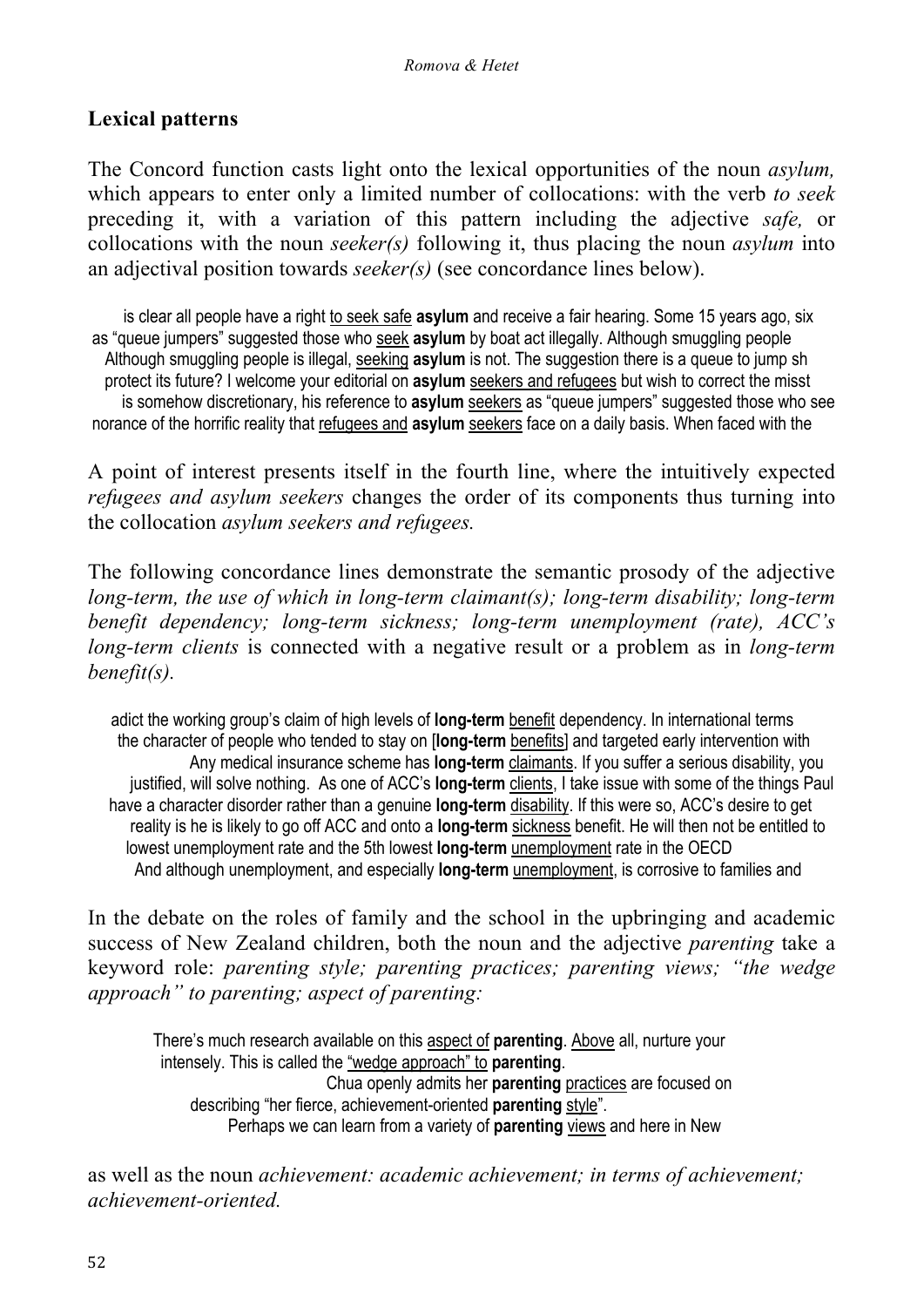#### **Lexical patterns**

The Concord function casts light onto the lexical opportunities of the noun *asylum,*  which appears to enter only a limited number of collocations: with the verb *to seek*  preceding it, with a variation of this pattern including the adjective *safe,* or collocations with the noun *seeker(s)* following it, thus placing the noun *asylum* into an adjectival position towards *seeker(s)* (see concordance lines below).

 is clear all people have a right to seek safe **asylum** and receive a fair hearing. Some 15 years ago, six as "queue jumpers" suggested those who seek **asylum** by boat act illegally. Although smuggling people Although smuggling people is illegal, seeking **asylum** is not. The suggestion there is a queue to jump sh protect its future? I welcome your editorial on **asylum** seekers and refugees but wish to correct the misst is somehow discretionary, his reference to **asylum** seekers as "queue jumpers" suggested those who see norance of the horrific reality that refugees and **asylum** seekers face on a daily basis. When faced with the

A point of interest presents itself in the fourth line, where the intuitively expected *refugees and asylum seekers* changes the order of its components thus turning into the collocation *asylum seekers and refugees.* 

The following concordance lines demonstrate the semantic prosody of the adjective *long-term, the use of which in long-term claimant(s); long-term disability; long-term benefit dependency; long-term sickness; long-term unemployment (rate), ACC's long-term clients* is connected with a negative result or a problem as in *long-term benefit(s).*

 adict the working group's claim of high levels of **long-term** benefit dependency. In international terms the character of people who tended to stay on [**long-term** benefits] and targeted early intervention with Any medical insurance scheme has **long-term** claimants. If you suffer a serious disability, you justified, will solve nothing. As one of ACC's **long-term** clients, I take issue with some of the things Paul have a character disorder rather than a genuine **long-term** disability. If this were so, ACC's desire to get reality is he is likely to go off ACC and onto a **long-term** sickness benefit. He will then not be entitled to lowest unemployment rate and the 5th lowest **long-term** unemployment rate in the OECD And although unemployment, and especially **long-term** unemployment, is corrosive to families and

In the debate on the roles of family and the school in the upbringing and academic success of New Zealand children, both the noun and the adjective *parenting* take a keyword role: *parenting style; parenting practices; parenting views; "the wedge approach" to parenting; aspect of parenting:* 

 There's much research available on this aspect of **parenting**. Above all, nurture your intensely. This is called the "wedge approach" to **parenting**. Chua openly admits her **parenting** practices are focused on describing "her fierce, achievement-oriented **parenting** style". Perhaps we can learn from a variety of **parenting** views and here in New

as well as the noun *achievement: academic achievement; in terms of achievement; achievement-oriented.*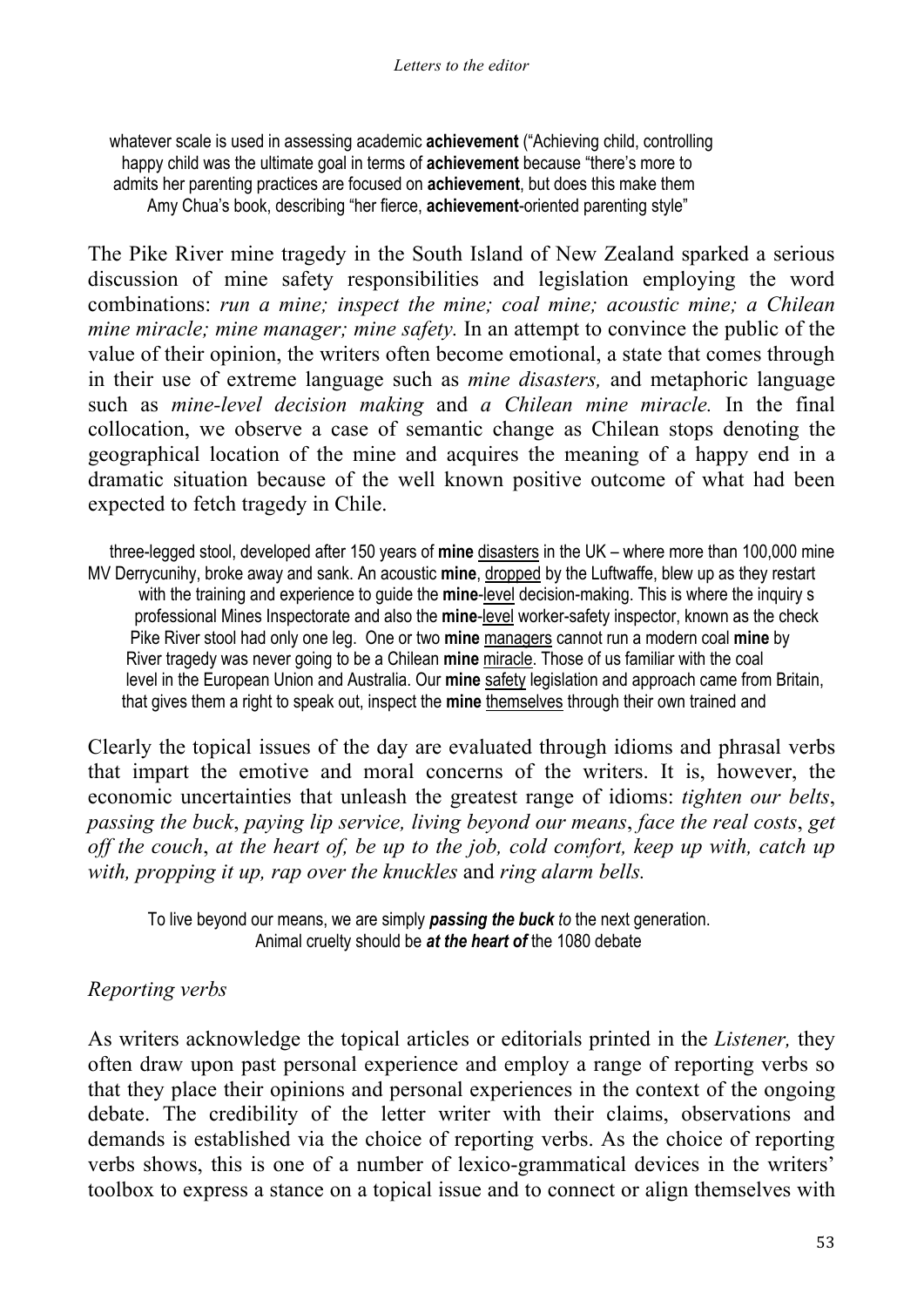whatever scale is used in assessing academic **achievement** ("Achieving child, controlling happy child was the ultimate goal in terms of **achievement** because "there's more to admits her parenting practices are focused on **achievement**, but does this make them Amy Chua's book, describing "her fierce, **achievement**-oriented parenting style"

The Pike River mine tragedy in the South Island of New Zealand sparked a serious discussion of mine safety responsibilities and legislation employing the word combinations: *run a mine; inspect the mine; coal mine; acoustic mine; a Chilean mine miracle; mine manager; mine safety.* In an attempt to convince the public of the value of their opinion, the writers often become emotional, a state that comes through in their use of extreme language such as *mine disasters,* and metaphoric language such as *mine-level decision making* and *a Chilean mine miracle.* In the final collocation, we observe a case of semantic change as Chilean stops denoting the geographical location of the mine and acquires the meaning of a happy end in a dramatic situation because of the well known positive outcome of what had been expected to fetch tragedy in Chile.

 three-legged stool, developed after 150 years of **mine** disasters in the UK – where more than 100,000 mine MV Derrycunihy, broke away and sank. An acoustic **mine**, dropped by the Luftwaffe, blew up as they restart with the training and experience to guide the **mine**-level decision-making. This is where the inquiry s professional Mines Inspectorate and also the **mine**-level worker-safety inspector, known as the check Pike River stool had only one leg. One or two **mine** managers cannot run a modern coal **mine** by River tragedy was never going to be a Chilean **mine** miracle. Those of us familiar with the coal level in the European Union and Australia. Our **mine** safety legislation and approach came from Britain, that gives them a right to speak out, inspect the **mine** themselves through their own trained and

Clearly the topical issues of the day are evaluated through idioms and phrasal verbs that impart the emotive and moral concerns of the writers. It is, however, the economic uncertainties that unleash the greatest range of idioms: *tighten our belts*, *passing the buck*, *paying lip service, living beyond our means*, *face the real costs*, *get off the couch*, *at the heart of, be up to the job, cold comfort, keep up with, catch up with, propping it up, rap over the knuckles* and *ring alarm bells.*

 To live beyond our means, we are simply *passing the buck to* the next generation. Animal cruelty should be *at the heart of* the 1080 debate

### *Reporting verbs*

As writers acknowledge the topical articles or editorials printed in the *Listener,* they often draw upon past personal experience and employ a range of reporting verbs so that they place their opinions and personal experiences in the context of the ongoing debate. The credibility of the letter writer with their claims, observations and demands is established via the choice of reporting verbs. As the choice of reporting verbs shows, this is one of a number of lexico-grammatical devices in the writers' toolbox to express a stance on a topical issue and to connect or align themselves with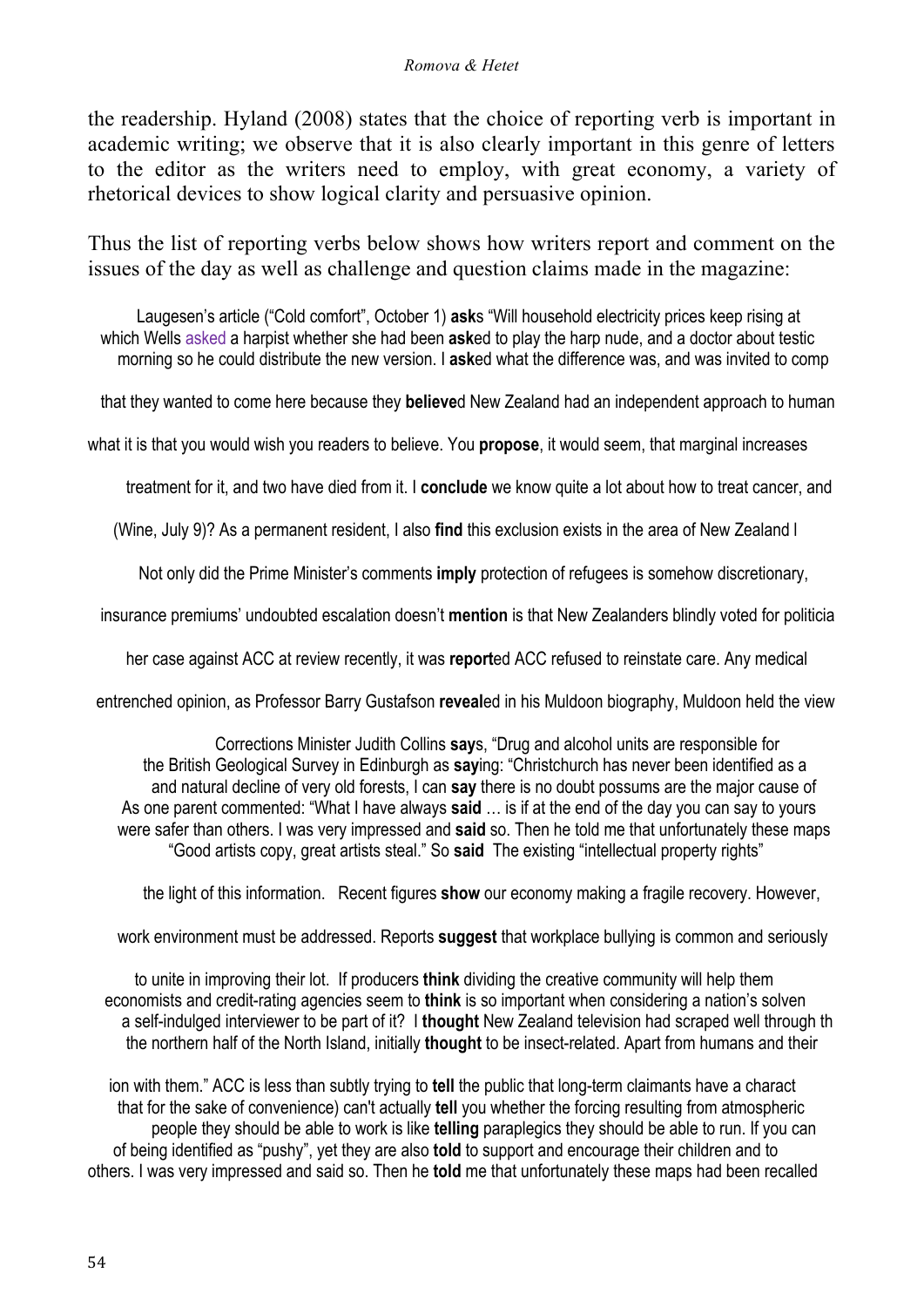the readership. Hyland (2008) states that the choice of reporting verb is important in academic writing; we observe that it is also clearly important in this genre of letters to the editor as the writers need to employ, with great economy, a variety of rhetorical devices to show logical clarity and persuasive opinion.

Thus the list of reporting verbs below shows how writers report and comment on the issues of the day as well as challenge and question claims made in the magazine:

 Laugesen's article ("Cold comfort", October 1) **ask**s "Will household electricity prices keep rising at which Wells asked a harpist whether she had been **ask**ed to play the harp nude, and a doctor about testic morning so he could distribute the new version. I **ask**ed what the difference was, and was invited to comp

that they wanted to come here because they **believe**d New Zealand had an independent approach to human

what it is that you would wish you readers to believe. You **propose**, it would seem, that marginal increases

treatment for it, and two have died from it. I **conclude** we know quite a lot about how to treat cancer, and

(Wine, July 9)? As a permanent resident, I also **find** this exclusion exists in the area of New Zealand l

Not only did the Prime Minister's comments **imply** protection of refugees is somehow discretionary,

insurance premiums' undoubted escalation doesn't **mention** is that New Zealanders blindly voted for politicia

her case against ACC at review recently, it was **report**ed ACC refused to reinstate care. Any medical

entrenched opinion, as Professor Barry Gustafson **reveal**ed in his Muldoon biography, Muldoon held the view

 Corrections Minister Judith Collins **say**s, "Drug and alcohol units are responsible for the British Geological Survey in Edinburgh as **say**ing: "Christchurch has never been identified as a and natural decline of very old forests, I can **say** there is no doubt possums are the major cause of As one parent commented: "What I have always **said** … is if at the end of the day you can say to yours were safer than others. I was very impressed and **said** so. Then he told me that unfortunately these maps "Good artists copy, great artists steal." So **said** The existing "intellectual property rights"

the light of this information. Recent figures **show** our economy making a fragile recovery. However,

work environment must be addressed. Reports **suggest** that workplace bullying is common and seriously

 to unite in improving their lot. If producers **think** dividing the creative community will help them economists and credit-rating agencies seem to **think** is so important when considering a nation's solven a self-indulged interviewer to be part of it? I **thought** New Zealand television had scraped well through th the northern half of the North Island, initially **thought** to be insect-related. Apart from humans and their

 ion with them." ACC is less than subtly trying to **tell** the public that long-term claimants have a charact that for the sake of convenience) can't actually **tell** you whether the forcing resulting from atmospheric people they should be able to work is like **telling** paraplegics they should be able to run. If you can of being identified as "pushy", yet they are also **told** to support and encourage their children and to others. I was very impressed and said so. Then he **told** me that unfortunately these maps had been recalled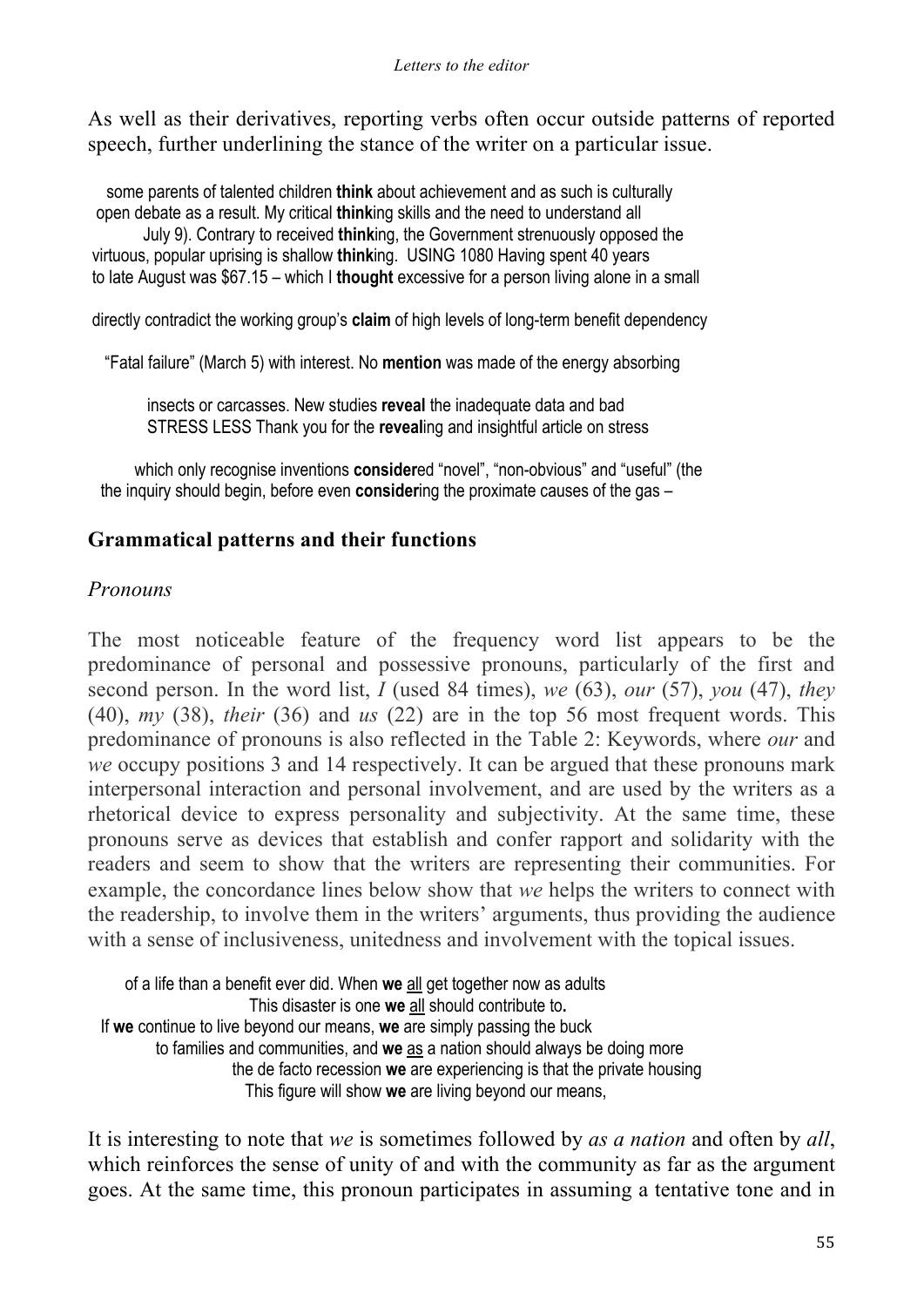As well as their derivatives, reporting verbs often occur outside patterns of reported speech, further underlining the stance of the writer on a particular issue.

 some parents of talented children **think** about achievement and as such is culturally open debate as a result. My critical **think**ing skills and the need to understand all

 July 9). Contrary to received **think**ing, the Government strenuously opposed the virtuous, popular uprising is shallow **think**ing. USING 1080 Having spent 40 years to late August was \$67.15 – which I **thought** excessive for a person living alone in a small

directly contradict the working group's **claim** of high levels of long-term benefit dependency

"Fatal failure" (March 5) with interest. No **mention** was made of the energy absorbing

 insects or carcasses. New studies **reveal** the inadequate data and bad STRESS LESS Thank you for the **reveal**ing and insightful article on stress

which only recognise inventions **considered** "novel", "non-obvious" and "useful" (the the inquiry should begin, before even **consider**ing the proximate causes of the gas –

### **Grammatical patterns and their functions**

#### *Pronouns*

The most noticeable feature of the frequency word list appears to be the predominance of personal and possessive pronouns, particularly of the first and second person. In the word list, *I* (used 84 times), *we* (63), *our* (57), *you* (47), *they*  (40), *my* (38), *their* (36) and *us* (22) are in the top 56 most frequent words. This predominance of pronouns is also reflected in the Table 2: Keywords, where *our* and *we* occupy positions 3 and 14 respectively. It can be argued that these pronouns mark interpersonal interaction and personal involvement, and are used by the writers as a rhetorical device to express personality and subjectivity. At the same time, these pronouns serve as devices that establish and confer rapport and solidarity with the readers and seem to show that the writers are representing their communities. For example, the concordance lines below show that *we* helps the writers to connect with the readership, to involve them in the writers' arguments, thus providing the audience with a sense of inclusiveness, unitedness and involvement with the topical issues.

 of a life than a benefit ever did. When **we** all get together now as adults This disaster is one **we** all should contribute to**.**  If **we** continue to live beyond our means, **we** are simply passing the buck to families and communities, and **we** as a nation should always be doing more the de facto recession **we** are experiencing is that the private housing This figure will show **we** are living beyond our means,

It is interesting to note that *we* is sometimes followed by *as a nation* and often by *all*, which reinforces the sense of unity of and with the community as far as the argument goes. At the same time, this pronoun participates in assuming a tentative tone and in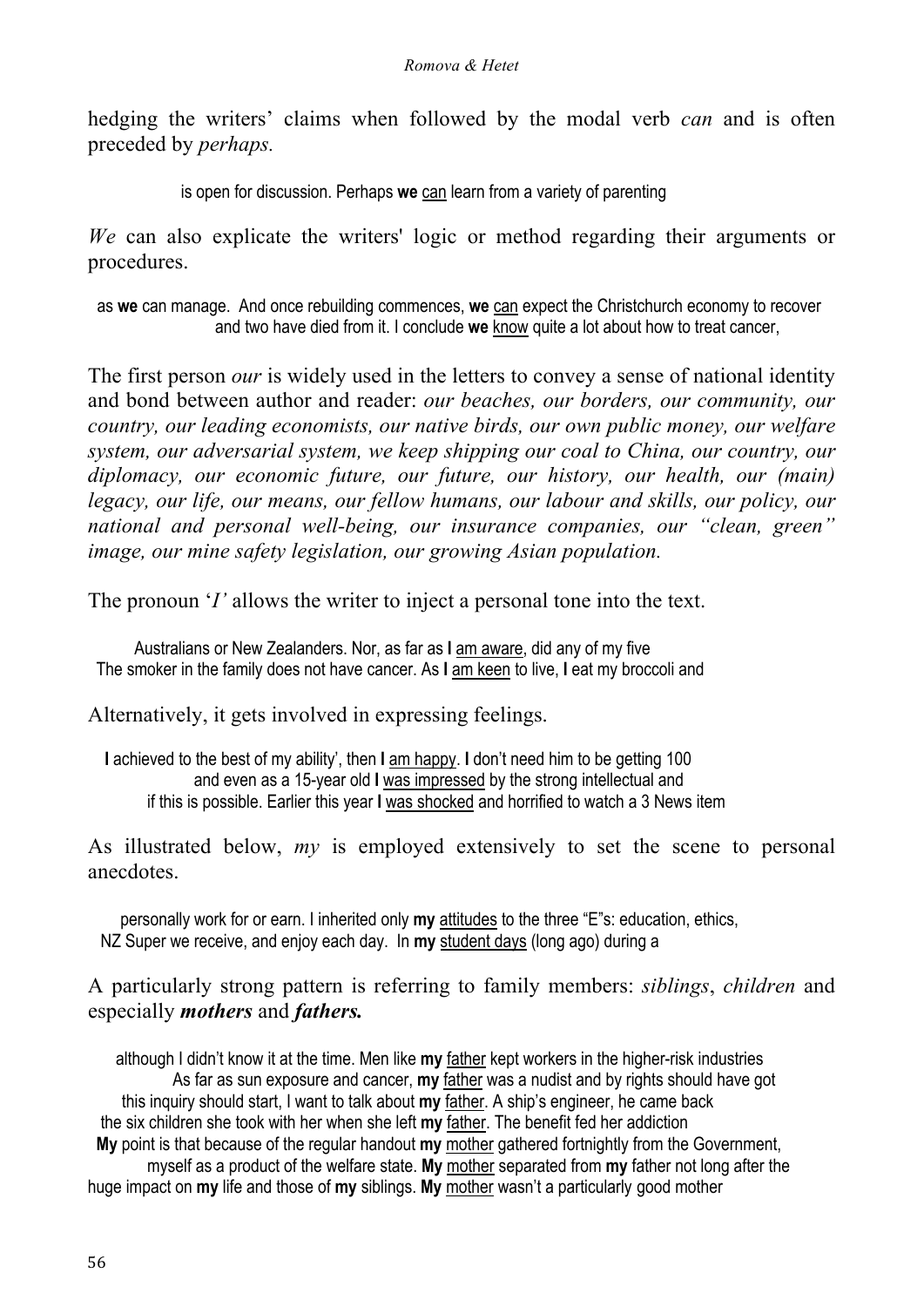hedging the writers' claims when followed by the modal verb *can* and is often preceded by *perhaps.*

is open for discussion. Perhaps **we** can learn from a variety of parenting

*We* can also explicate the writers' logic or method regarding their arguments or procedures.

 as **we** can manage. And once rebuilding commences, **we** can expect the Christchurch economy to recover and two have died from it. I conclude **we** know quite a lot about how to treat cancer,

The first person *our* is widely used in the letters to convey a sense of national identity and bond between author and reader: *our beaches, our borders, our community, our country, our leading economists, our native birds, our own public money, our welfare system, our adversarial system, we keep shipping our coal to China, our country, our diplomacy, our economic future, our future, our history, our health, our (main) legacy, our life, our means, our fellow humans, our labour and skills, our policy, our national and personal well-being, our insurance companies, our "clean, green" image, our mine safety legislation, our growing Asian population.*

The pronoun '*I'* allows the writer to inject a personal tone into the text.

 Australians or New Zealanders. Nor, as far as **I** am aware, did any of my five The smoker in the family does not have cancer. As **I** am keen to live, **I** eat my broccoli and

Alternatively, it gets involved in expressing feelings.

 **I** achieved to the best of my ability', then **I** am happy. **I** don't need him to be getting 100 and even as a 15-year old **I** was impressed by the strong intellectual and if this is possible. Earlier this year **I** was shocked and horrified to watch a 3 News item

As illustrated below, *my* is employed extensively to set the scene to personal anecdotes.

 personally work for or earn. I inherited only **my** attitudes to the three "E"s: education, ethics, NZ Super we receive, and enjoy each day. In **my** student days (long ago) during a

A particularly strong pattern is referring to family members: *siblings*, *children* and especially *mothers* and *fathers.*

 although I didn't know it at the time. Men like **my** father kept workers in the higher-risk industries As far as sun exposure and cancer, **my** father was a nudist and by rights should have got this inquiry should start, I want to talk about **my** father. A ship's engineer, he came back the six children she took with her when she left **my** father. The benefit fed her addiction **My** point is that because of the regular handout **my** mother gathered fortnightly from the Government, myself as a product of the welfare state. **My** mother separated from **my** father not long after the huge impact on **my** life and those of **my** siblings. **My** mother wasn't a particularly good mother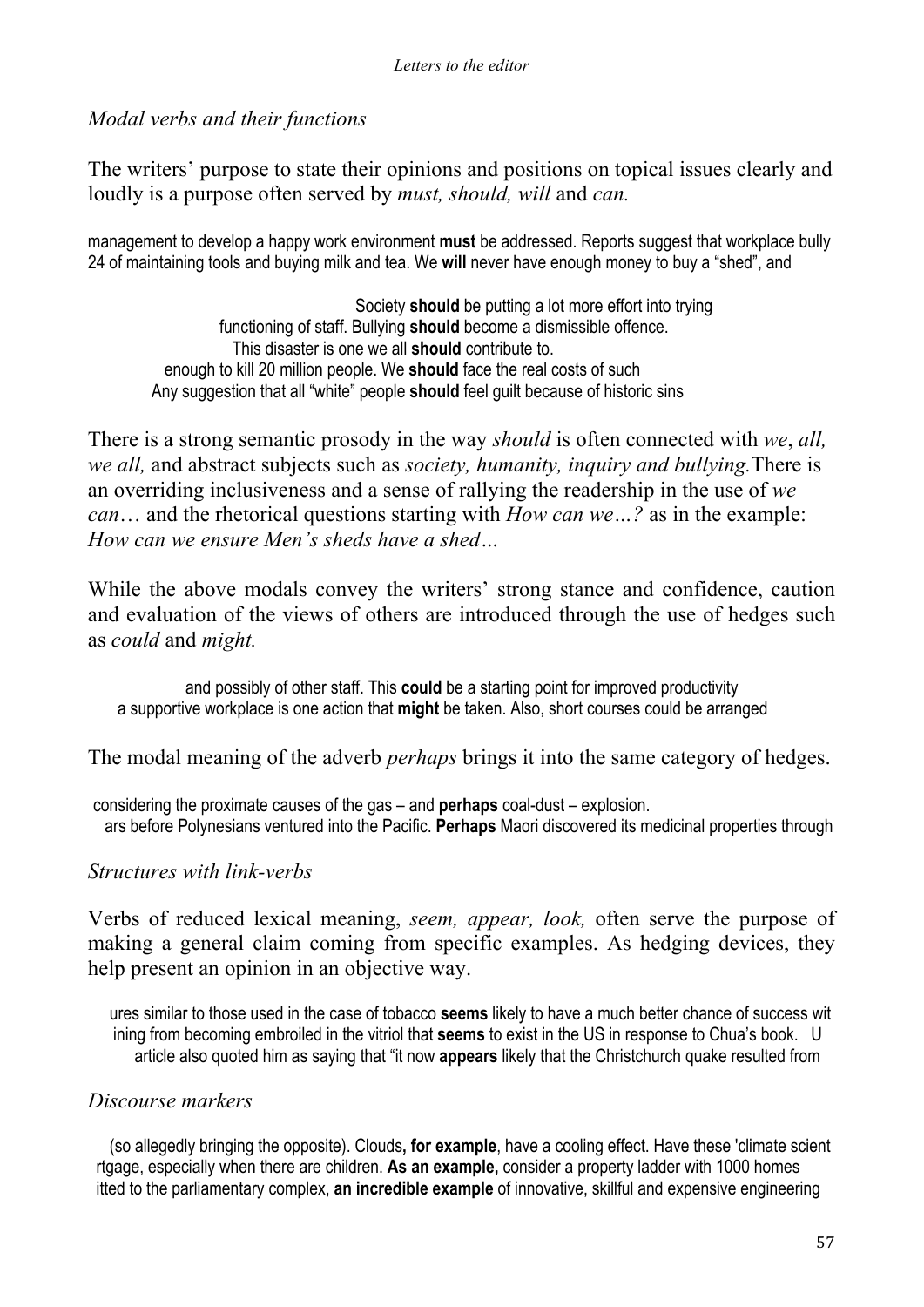#### *Modal verbs and their functions*

The writers' purpose to state their opinions and positions on topical issues clearly and loudly is a purpose often served by *must, should, will* and *can.* 

management to develop a happy work environment **must** be addressed. Reports suggest that workplace bully 24 of maintaining tools and buying milk and tea. We **will** never have enough money to buy a "shed", and

 Society **should** be putting a lot more effort into trying functioning of staff. Bullying **should** become a dismissible offence. This disaster is one we all **should** contribute to. enough to kill 20 million people. We **should** face the real costs of such Any suggestion that all "white" people **should** feel guilt because of historic sins

There is a strong semantic prosody in the way *should* is often connected with *we*, *all, we all,* and abstract subjects such as *society, humanity, inquiry and bullying.*There is an overriding inclusiveness and a sense of rallying the readership in the use of *we can*… and the rhetorical questions starting with *How can we…?* as in the example: *How can we ensure Men's sheds have a shed…*

While the above modals convey the writers' strong stance and confidence, caution and evaluation of the views of others are introduced through the use of hedges such as *could* and *might.*

 and possibly of other staff. This **could** be a starting point for improved productivity a supportive workplace is one action that **might** be taken. Also, short courses could be arranged

The modal meaning of the adverb *perhaps* brings it into the same category of hedges.

considering the proximate causes of the gas – and **perhaps** coal-dust – explosion. ars before Polynesians ventured into the Pacific. **Perhaps** Maori discovered its medicinal properties through

### *Structures with link-verbs*

Verbs of reduced lexical meaning, *seem, appear, look,* often serve the purpose of making a general claim coming from specific examples. As hedging devices, they help present an opinion in an objective way.

 ures similar to those used in the case of tobacco **seems** likely to have a much better chance of success wit ining from becoming embroiled in the vitriol that **seems** to exist in the US in response to Chua's book. U article also quoted him as saying that "it now **appears** likely that the Christchurch quake resulted from

#### *Discourse markers*

(so allegedly bringing the opposite). Clouds**, for example**, have a cooling effect. Have these 'climate scient rtgage, especially when there are children. **As an example,** consider a property ladder with 1000 homes itted to the parliamentary complex, **an incredible example** of innovative, skillful and expensive engineering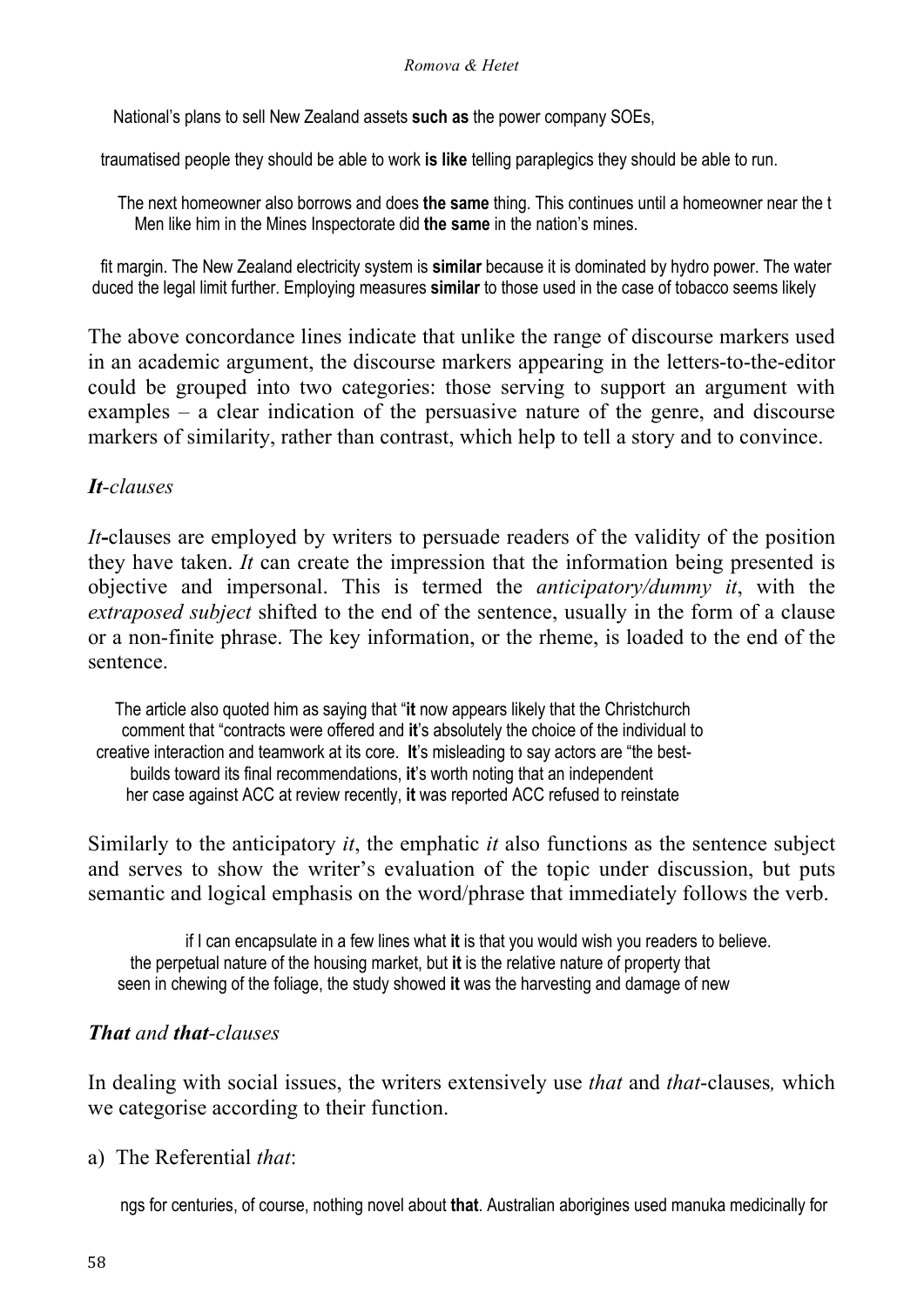National's plans to sell New Zealand assets **such as** the power company SOEs,

traumatised people they should be able to work **is like** telling paraplegics they should be able to run.

 The next homeowner also borrows and does **the same** thing. This continues until a homeowner near the t Men like him in the Mines Inspectorate did **the same** in the nation's mines.

 fit margin. The New Zealand electricity system is **similar** because it is dominated by hydro power. The water duced the legal limit further. Employing measures **similar** to those used in the case of tobacco seems likely

The above concordance lines indicate that unlike the range of discourse markers used in an academic argument, the discourse markers appearing in the letters-to-the-editor could be grouped into two categories: those serving to support an argument with examples – a clear indication of the persuasive nature of the genre, and discourse markers of similarity, rather than contrast, which help to tell a story and to convince.

#### *It-clauses*

*It***-**clauses are employed by writers to persuade readers of the validity of the position they have taken. *It* can create the impression that the information being presented is objective and impersonal. This is termed the *anticipatory/dummy it*, with the *extraposed subject* shifted to the end of the sentence, usually in the form of a clause or a non-finite phrase. The key information, or the rheme, is loaded to the end of the sentence.

 The article also quoted him as saying that "**it** now appears likely that the Christchurch comment that "contracts were offered and **it**'s absolutely the choice of the individual to creative interaction and teamwork at its core. **It**'s misleading to say actors are "the best builds toward its final recommendations, **it**'s worth noting that an independent her case against ACC at review recently, **it** was reported ACC refused to reinstate

Similarly to the anticipatory *it*, the emphatic *it* also functions as the sentence subject and serves to show the writer's evaluation of the topic under discussion, but puts semantic and logical emphasis on the word/phrase that immediately follows the verb.

 if I can encapsulate in a few lines what **it** is that you would wish you readers to believe. the perpetual nature of the housing market, but **it** is the relative nature of property that seen in chewing of the foliage, the study showed **it** was the harvesting and damage of new

### *That and that-clauses*

In dealing with social issues, the writers extensively use *that* and *that*-clauses*,* which we categorise according to their function.

a) The Referential *that*:

ngs for centuries, of course, nothing novel about **that**. Australian aborigines used manuka medicinally for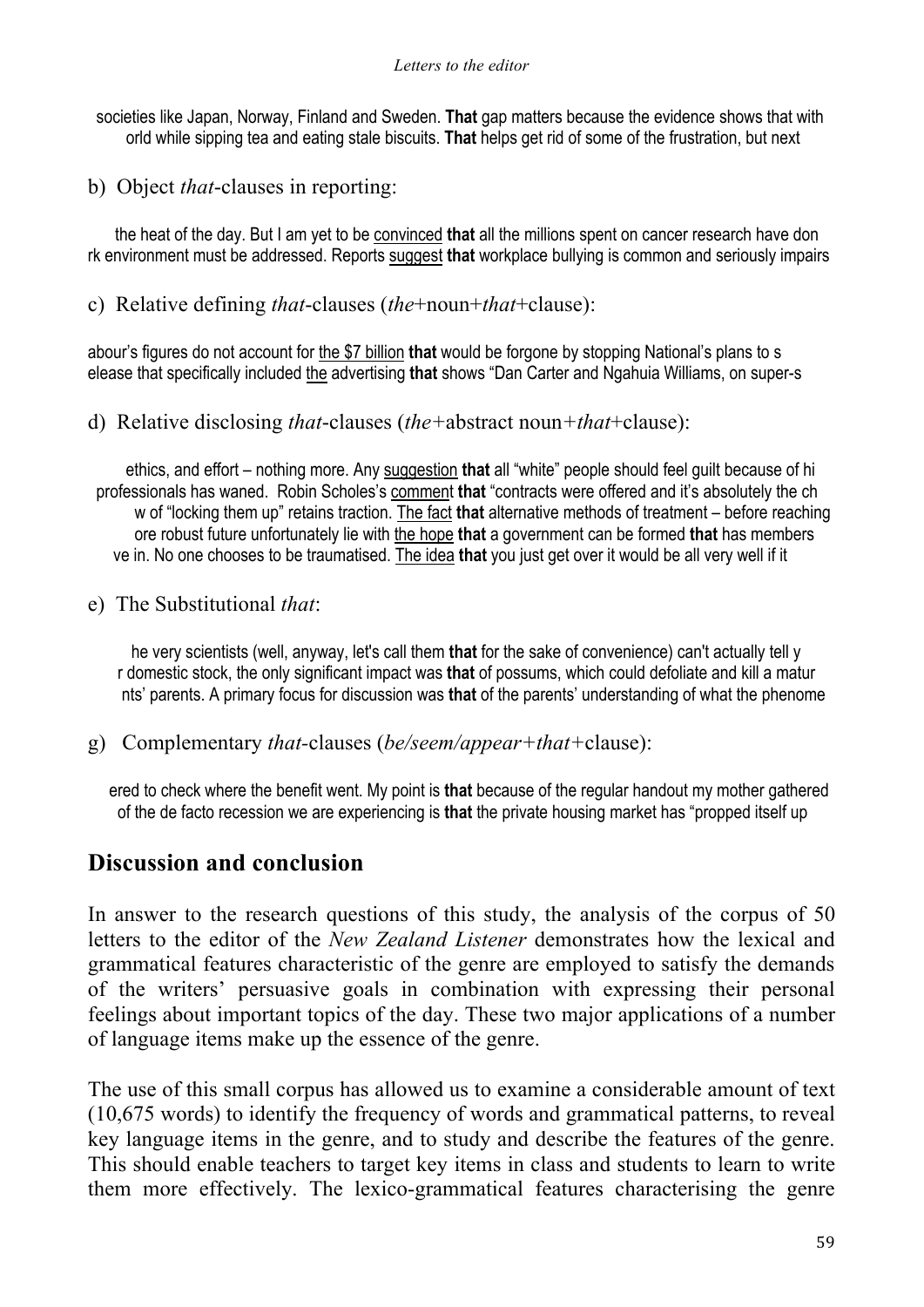societies like Japan, Norway, Finland and Sweden. **That** gap matters because the evidence shows that with orld while sipping tea and eating stale biscuits. **That** helps get rid of some of the frustration, but next

b) Object *that*-clauses in reporting:

 the heat of the day. But I am yet to be convinced **that** all the millions spent on cancer research have don rk environment must be addressed. Reports suggest **that** workplace bullying is common and seriously impairs

c) Relative defining *that*-clauses (*the*+noun+*that*+clause):

abour's figures do not account for the \$7 billion **that** would be forgone by stopping National's plans to s elease that specifically included the advertising **that** shows "Dan Carter and Ngahuia Williams, on super-s

d) Relative disclosing *that*-clauses (*the+*abstract noun*+that*+clause):

 ethics, and effort – nothing more. Any suggestion **that** all "white" people should feel guilt because of hi professionals has waned. Robin Scholes's comment **that** "contracts were offered and it's absolutely the ch w of "locking them up" retains traction. The fact **that** alternative methods of treatment – before reaching ore robust future unfortunately lie with the hope **that** a government can be formed **that** has members ve in. No one chooses to be traumatised. The idea **that** you just get over it would be all very well if it

e) The Substitutional *that*:

 he very scientists (well, anyway, let's call them **that** for the sake of convenience) can't actually tell y r domestic stock, the only significant impact was **that** of possums, which could defoliate and kill a matur nts' parents. A primary focus for discussion was **that** of the parents' understanding of what the phenome

g) Complementary *that-*clauses (*be/seem/appear+that+*clause):

 ered to check where the benefit went. My point is **that** because of the regular handout my mother gathered of the de facto recession we are experiencing is **that** the private housing market has "propped itself up

# **Discussion and conclusion**

In answer to the research questions of this study, the analysis of the corpus of 50 letters to the editor of the *New Zealand Listener* demonstrates how the lexical and grammatical features characteristic of the genre are employed to satisfy the demands of the writers' persuasive goals in combination with expressing their personal feelings about important topics of the day. These two major applications of a number of language items make up the essence of the genre.

The use of this small corpus has allowed us to examine a considerable amount of text (10,675 words) to identify the frequency of words and grammatical patterns, to reveal key language items in the genre, and to study and describe the features of the genre. This should enable teachers to target key items in class and students to learn to write them more effectively. The lexico-grammatical features characterising the genre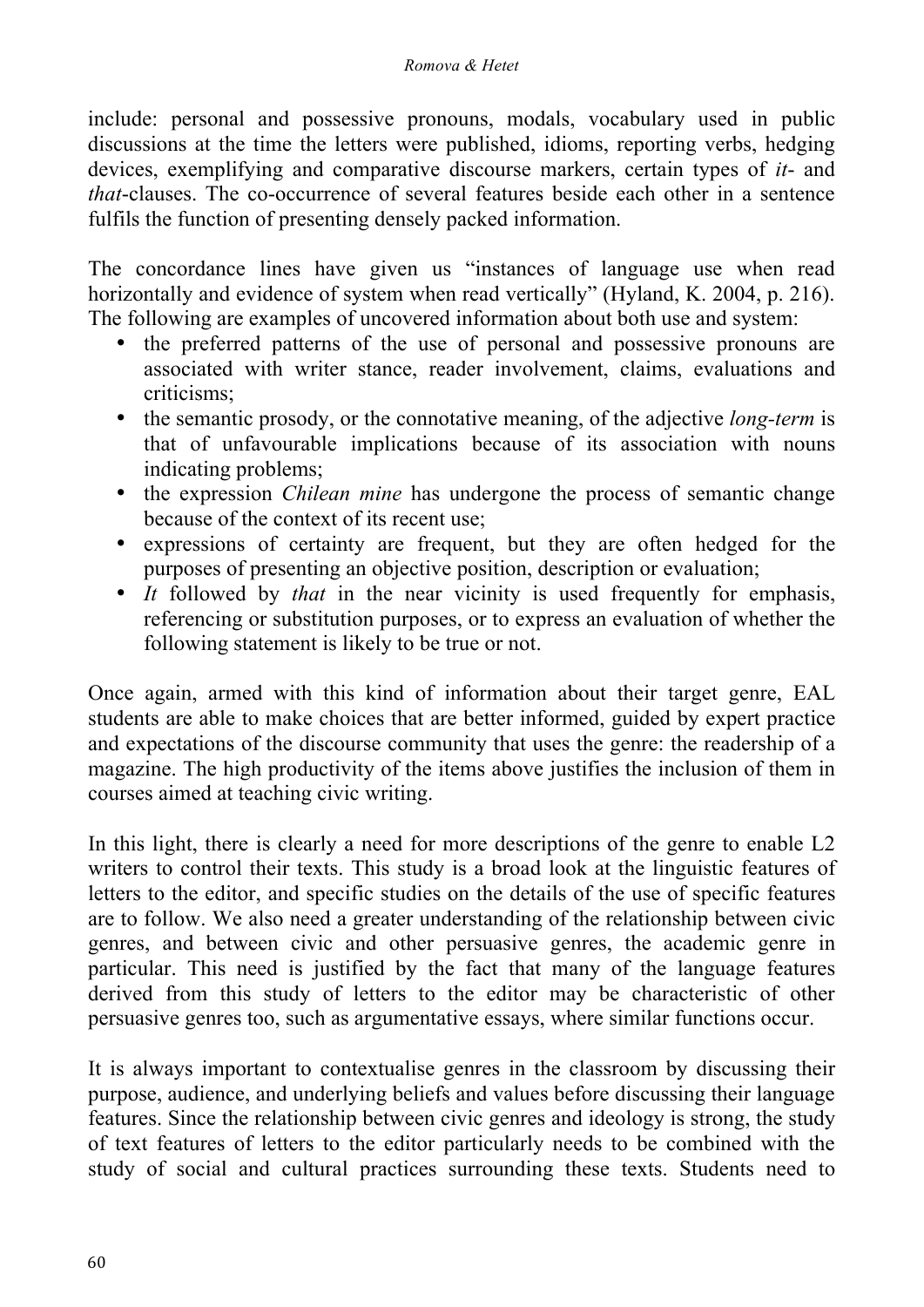include: personal and possessive pronouns, modals, vocabulary used in public discussions at the time the letters were published, idioms, reporting verbs, hedging devices, exemplifying and comparative discourse markers, certain types of *it*- and *that*-clauses. The co-occurrence of several features beside each other in a sentence fulfils the function of presenting densely packed information.

The concordance lines have given us "instances of language use when read horizontally and evidence of system when read vertically" (Hyland, K. 2004, p. 216). The following are examples of uncovered information about both use and system:

- the preferred patterns of the use of personal and possessive pronouns are associated with writer stance, reader involvement, claims, evaluations and criticisms;
- the semantic prosody, or the connotative meaning, of the adjective *long-term* is that of unfavourable implications because of its association with nouns indicating problems;
- the expression *Chilean mine* has undergone the process of semantic change because of the context of its recent use;
- expressions of certainty are frequent, but they are often hedged for the purposes of presenting an objective position, description or evaluation;
- *It* followed by *that* in the near vicinity is used frequently for emphasis, referencing or substitution purposes, or to express an evaluation of whether the following statement is likely to be true or not.

Once again, armed with this kind of information about their target genre, EAL students are able to make choices that are better informed, guided by expert practice and expectations of the discourse community that uses the genre: the readership of a magazine. The high productivity of the items above justifies the inclusion of them in courses aimed at teaching civic writing.

In this light, there is clearly a need for more descriptions of the genre to enable L2 writers to control their texts. This study is a broad look at the linguistic features of letters to the editor, and specific studies on the details of the use of specific features are to follow. We also need a greater understanding of the relationship between civic genres, and between civic and other persuasive genres, the academic genre in particular. This need is justified by the fact that many of the language features derived from this study of letters to the editor may be characteristic of other persuasive genres too, such as argumentative essays, where similar functions occur.

It is always important to contextualise genres in the classroom by discussing their purpose, audience, and underlying beliefs and values before discussing their language features. Since the relationship between civic genres and ideology is strong, the study of text features of letters to the editor particularly needs to be combined with the study of social and cultural practices surrounding these texts. Students need to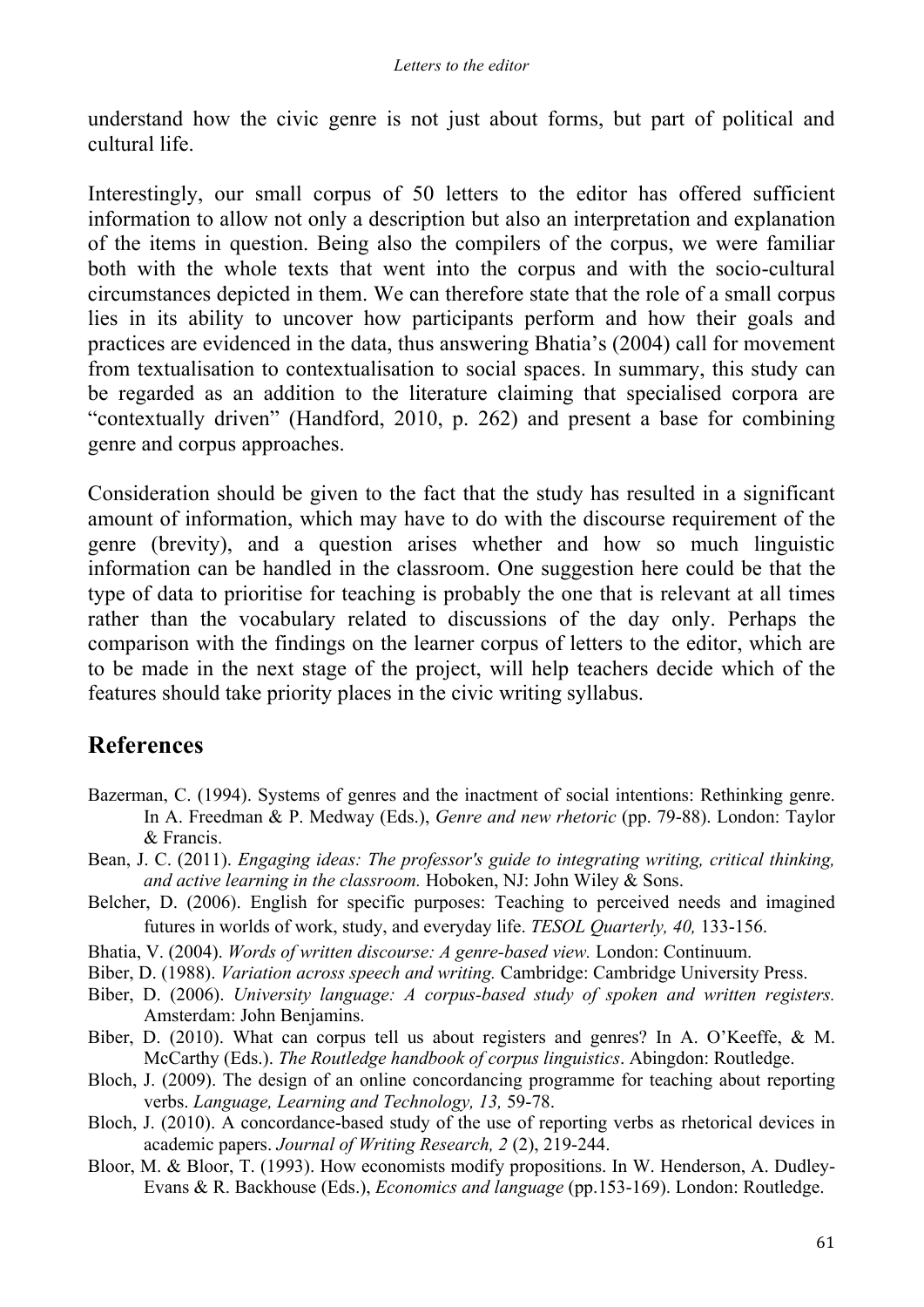understand how the civic genre is not just about forms, but part of political and cultural life.

Interestingly, our small corpus of 50 letters to the editor has offered sufficient information to allow not only a description but also an interpretation and explanation of the items in question. Being also the compilers of the corpus, we were familiar both with the whole texts that went into the corpus and with the socio-cultural circumstances depicted in them. We can therefore state that the role of a small corpus lies in its ability to uncover how participants perform and how their goals and practices are evidenced in the data, thus answering Bhatia's (2004) call for movement from textualisation to contextualisation to social spaces. In summary, this study can be regarded as an addition to the literature claiming that specialised corpora are "contextually driven" (Handford, 2010, p. 262) and present a base for combining genre and corpus approaches.

Consideration should be given to the fact that the study has resulted in a significant amount of information, which may have to do with the discourse requirement of the genre (brevity), and a question arises whether and how so much linguistic information can be handled in the classroom. One suggestion here could be that the type of data to prioritise for teaching is probably the one that is relevant at all times rather than the vocabulary related to discussions of the day only. Perhaps the comparison with the findings on the learner corpus of letters to the editor, which are to be made in the next stage of the project, will help teachers decide which of the features should take priority places in the civic writing syllabus.

# **References**

- Bazerman, C. (1994). Systems of genres and the inactment of social intentions: Rethinking genre. In A. Freedman & P. Medway (Eds.), *Genre and new rhetoric* (pp. 79-88). London: Taylor & Francis.
- Bean, J. C. (2011). *Engaging ideas: The professor's guide to integrating writing, critical thinking, and active learning in the classroom.* Hoboken, NJ: John Wiley & Sons.
- Belcher, D. (2006). English for specific purposes: Teaching to perceived needs and imagined futures in worlds of work, study, and everyday life. *TESOL Quarterly, 40,* 133-156.
- Bhatia, V. (2004). *Words of written discourse: A genre-based view.* London: Continuum.
- Biber, D. (1988). *Variation across speech and writing.* Cambridge: Cambridge University Press.
- Biber, D. (2006). *University language: A corpus-based study of spoken and written registers.* Amsterdam: John Benjamins.
- Biber, D. (2010). What can corpus tell us about registers and genres? In A. O'Keeffe, & M. McCarthy (Eds.). *The Routledge handbook of corpus linguistics*. Abingdon: Routledge.
- Bloch, J. (2009). The design of an online concordancing programme for teaching about reporting verbs. *Language, Learning and Technology, 13,* 59-78.
- Bloch, J. (2010). A concordance-based study of the use of reporting verbs as rhetorical devices in academic papers. *Journal of Writing Research, 2* (2), 219-244.
- Bloor, M. & Bloor, T. (1993). How economists modify propositions. In W. Henderson, A. Dudley-Evans & R. Backhouse (Eds.), *Economics and language* (pp.153-169). London: Routledge.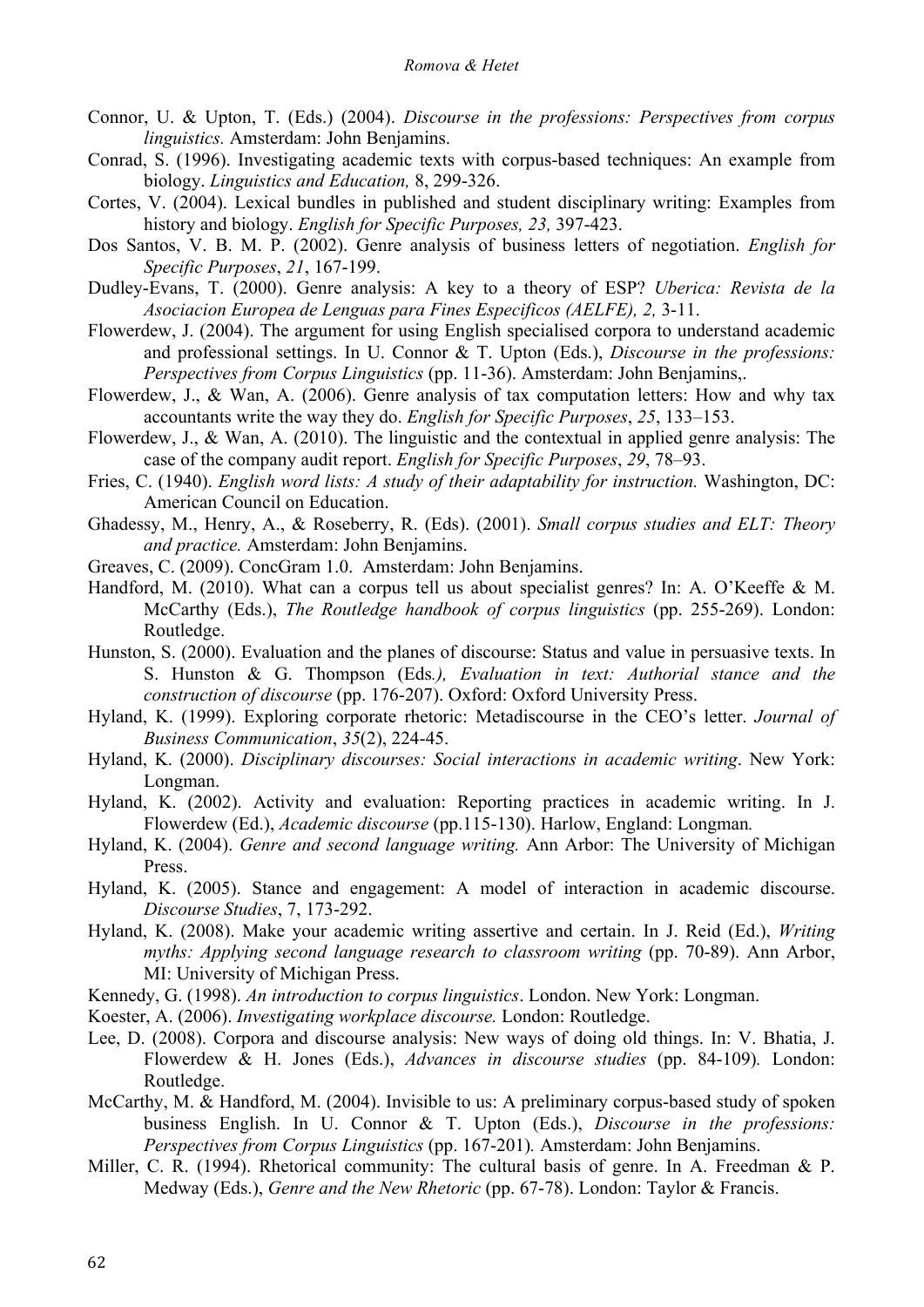- Connor, U. & Upton, T. (Eds.) (2004). *Discourse in the professions: Perspectives from corpus linguistics.* Amsterdam: John Benjamins.
- Conrad, S. (1996). Investigating academic texts with corpus-based techniques: An example from biology. *Linguistics and Education,* 8, 299-326.
- Cortes, V. (2004). Lexical bundles in published and student disciplinary writing: Examples from history and biology. *English for Specific Purposes, 23,* 397-423.
- Dos Santos, V. B. M. P. (2002). Genre analysis of business letters of negotiation. *English for Specific Purposes*, *21*, 167-199.
- Dudley-Evans, T. (2000). Genre analysis: A key to a theory of ESP? *Uberica: Revista de la Asociacion Europea de Lenguas para Fines Especificos (AELFE), 2,* 3-11.
- Flowerdew, J. (2004). The argument for using English specialised corpora to understand academic and professional settings. In U. Connor & T. Upton (Eds.), *Discourse in the professions: Perspectives from Corpus Linguistics* (pp. 11-36). Amsterdam: John Benjamins,.
- Flowerdew, J., & Wan, A. (2006). Genre analysis of tax computation letters: How and why tax accountants write the way they do. *English for Specific Purposes*, *25*, 133–153.
- Flowerdew, J., & Wan, A. (2010). The linguistic and the contextual in applied genre analysis: The case of the company audit report. *English for Specific Purposes*, *29*, 78–93.
- Fries, C. (1940). *English word lists: A study of their adaptability for instruction.* Washington, DC: American Council on Education.
- Ghadessy, M., Henry, A., & Roseberry, R. (Eds). (2001). *Small corpus studies and ELT: Theory and practice.* Amsterdam: John Benjamins.
- Greaves, C. (2009). ConcGram 1.0. Amsterdam: John Benjamins.
- Handford, M. (2010). What can a corpus tell us about specialist genres? In: A. O'Keeffe & M. McCarthy (Eds.), *The Routledge handbook of corpus linguistics* (pp. 255-269). London: Routledge.
- Hunston, S. (2000). Evaluation and the planes of discourse: Status and value in persuasive texts. In S. Hunston & G. Thompson (Eds*.), Evaluation in text: Authorial stance and the construction of discourse* (pp. 176-207). Oxford: Oxford University Press.
- Hyland, K. (1999). Exploring corporate rhetoric: Metadiscourse in the CEO's letter. *Journal of Business Communication*, *35*(2), 224-45.
- Hyland, K. (2000). *Disciplinary discourses: Social interactions in academic writing*. New York: Longman.
- Hyland, K. (2002). Activity and evaluation: Reporting practices in academic writing. In J. Flowerdew (Ed.), *Academic discourse* (pp.115-130). Harlow, England: Longman*.*
- Hyland, K. (2004). *Genre and second language writing.* Ann Arbor: The University of Michigan Press.
- Hyland, K. (2005). Stance and engagement: A model of interaction in academic discourse. *Discourse Studies*, 7, 173-292.
- Hyland, K. (2008). Make your academic writing assertive and certain. In J. Reid (Ed.), *Writing myths: Applying second language research to classroom writing* (pp. 70-89). Ann Arbor, MI: University of Michigan Press.
- Kennedy, G. (1998). *An introduction to corpus linguistics*. London. New York: Longman.
- Koester, A. (2006). *Investigating workplace discourse.* London: Routledge.
- Lee, D. (2008). Corpora and discourse analysis: New ways of doing old things. In: V. Bhatia, J. Flowerdew & H. Jones (Eds.), *Advances in discourse studies* (pp. 84-109)*.* London: Routledge.
- McCarthy, M. & Handford, M. (2004). Invisible to us: A preliminary corpus-based study of spoken business English. In U. Connor & T. Upton (Eds.), *Discourse in the professions: Perspectives from Corpus Linguistics* (pp. 167-201)*.* Amsterdam: John Benjamins.
- Miller, C. R. (1994). Rhetorical community: The cultural basis of genre. In A. Freedman & P. Medway (Eds.), *Genre and the New Rhetoric* (pp. 67-78). London: Taylor & Francis.